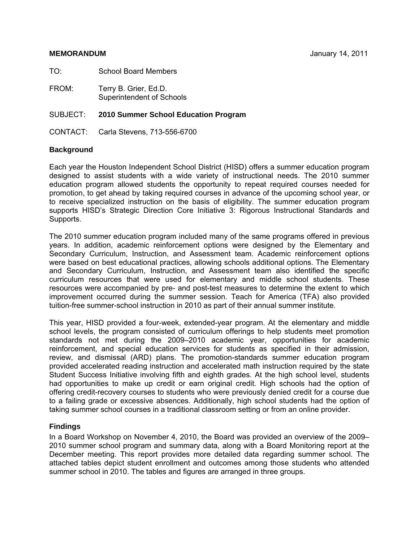TO: School Board Members

FROM: Terry B. Grier, Ed.D. Superintendent of Schools

# SUBJECT: **2010 Summer School Education Program**

CONTACT: Carla Stevens, 713-556-6700

# **Background**

Each year the Houston Independent School District (HISD) offers a summer education program designed to assist students with a wide variety of instructional needs. The 2010 summer education program allowed students the opportunity to repeat required courses needed for promotion, to get ahead by taking required courses in advance of the upcoming school year, or to receive specialized instruction on the basis of eligibility. The summer education program supports HISD's Strategic Direction Core Initiative 3: Rigorous Instructional Standards and Supports.

The 2010 summer education program included many of the same programs offered in previous years. In addition, academic reinforcement options were designed by the Elementary and Secondary Curriculum, Instruction, and Assessment team. Academic reinforcement options were based on best educational practices, allowing schools additional options. The Elementary and Secondary Curriculum, Instruction, and Assessment team also identified the specific curriculum resources that were used for elementary and middle school students. These resources were accompanied by pre- and post-test measures to determine the extent to which improvement occurred during the summer session. Teach for America (TFA) also provided tuition-free summer-school instruction in 2010 as part of their annual summer institute.

This year, HISD provided a four-week, extended-year program. At the elementary and middle school levels, the program consisted of curriculum offerings to help students meet promotion standards not met during the 2009–2010 academic year, opportunities for academic reinforcement, and special education services for students as specified in their admission, review, and dismissal (ARD) plans. The promotion-standards summer education program provided accelerated reading instruction and accelerated math instruction required by the state Student Success Initiative involving fifth and eighth grades. At the high school level, students had opportunities to make up credit or earn original credit. High schools had the option of offering credit-recovery courses to students who were previously denied credit for a course due to a failing grade or excessive absences. Additionally, high school students had the option of taking summer school courses in a traditional classroom setting or from an online provider.

# **Findings**

In a Board Workshop on November 4, 2010, the Board was provided an overview of the 2009– 2010 summer school program and summary data, along with a Board Monitoring report at the December meeting. This report provides more detailed data regarding summer school. The attached tables depict student enrollment and outcomes among those students who attended summer school in 2010. The tables and figures are arranged in three groups.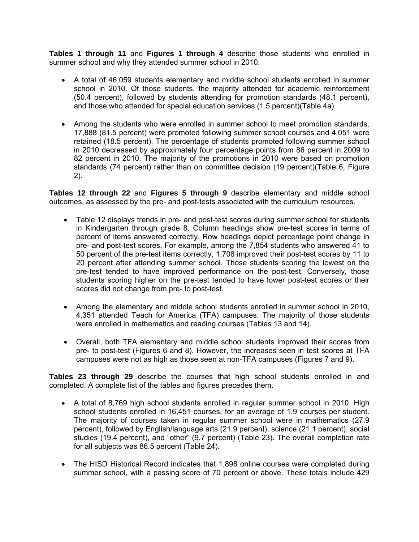**Tables 1 through 11** and **Figures 1 through 4** describe those students who enrolled in summer school and why they attended summer school in 2010.

- A total of 46,059 students elementary and middle school students enrolled in summer school in 2010. Of those students, the majority attended for academic reinforcement (50.4 percent), followed by students attending for promotion standards (48.1 percent), and those who attended for special education services (1.5 percent)(Table 4a).
- Among the students who were enrolled in summer school to meet promotion standards, 17,888 (81.5 percent) were promoted following summer school courses and 4,051 were retained (18.5 percent). The percentage of students promoted following summer school in 2010 decreased by approximately four percentage points from 86 percent in 2009 to 82 percent in 2010. The majority of the promotions in 2010 were based on promotion standards (74 percent) rather than on committee decision (19 percent)(Table 6, Figure 2).

**Tables 12 through 22** and **Figures 5 through 9** describe elementary and middle school outcomes, as assessed by the pre- and post-tests associated with the curriculum resources.

- Table 12 displays trends in pre- and post-test scores during summer school for students in Kindergarten through grade 8. Column headings show pre-test scores in terms of percent of items answered correctly. Row headings depict percentage point change in pre- and post-test scores. For example, among the 7,854 students who answered 41 to 50 percent of the pre-test items correctly, 1,708 improved their post-test scores by 11 to 20 percent after attending summer school. Those students scoring the lowest on the pre-test tended to have improved performance on the post-test. Conversely, those students scoring higher on the pre-test tended to have lower post-test scores or their scores did not change from pre- to post-test.
- Among the elementary and middle school students enrolled in summer school in 2010, 4,351 attended Teach for America (TFA) campuses. The majority of those students were enrolled in mathematics and reading courses (Tables 13 and 14).
- Overall, both TFA elementary and middle school students improved their scores from pre- to post-test (Figures 6 and 8). However, the increases seen in test scores at TFA campuses were not as high as those seen at non-TFA campuses (Figures 7 and 9).

**Tables 23 through 29** describe the courses that high school students enrolled in and completed. A complete list of the tables and figures precedes them.

- A total of 8,769 high school students enrolled in regular summer school in 2010. High school students enrolled in 16,451 courses, for an average of 1.9 courses per student. The majority of courses taken in regular summer school were in mathematics (27.9 percent), followed by English/language arts (21.9 percent), science (21.1 percent), social studies (19.4 percent), and "other" (9.7 percent) (Table 23). The overall completion rate for all subjects was 86.5 percent (Table 24).
- The HISD Historical Record indicates that 1,898 online courses were completed during summer school, with a passing score of 70 percent or above. These totals include 429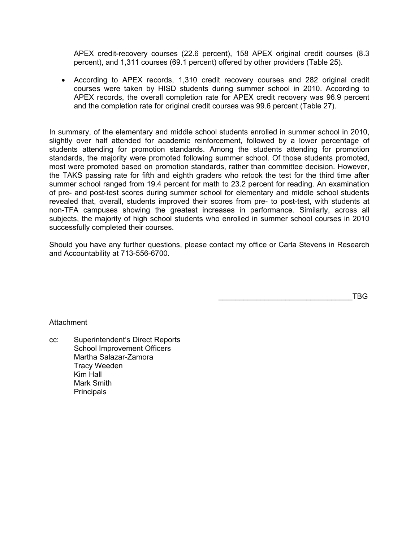APEX credit-recovery courses (22.6 percent), 158 APEX original credit courses (8.3 percent), and 1,311 courses (69.1 percent) offered by other providers (Table 25).

• According to APEX records, 1,310 credit recovery courses and 282 original credit courses were taken by HISD students during summer school in 2010. According to APEX records, the overall completion rate for APEX credit recovery was 96.9 percent and the completion rate for original credit courses was 99.6 percent (Table 27).

In summary, of the elementary and middle school students enrolled in summer school in 2010, slightly over half attended for academic reinforcement, followed by a lower percentage of students attending for promotion standards. Among the students attending for promotion standards, the majority were promoted following summer school. Of those students promoted, most were promoted based on promotion standards, rather than committee decision. However, the TAKS passing rate for fifth and eighth graders who retook the test for the third time after summer school ranged from 19.4 percent for math to 23.2 percent for reading. An examination of pre- and post-test scores during summer school for elementary and middle school students revealed that, overall, students improved their scores from pre- to post-test, with students at non-TFA campuses showing the greatest increases in performance. Similarly, across all subjects, the majority of high school students who enrolled in summer school courses in 2010 successfully completed their courses.

Should you have any further questions, please contact my office or Carla Stevens in Research and Accountability at 713-556-6700.

 $\overline{\phantom{a}}$  . TBG  $\overline{\phantom{a}}$ 

# Attachment

cc: Superintendent's Direct Reports School Improvement Officers Martha Salazar-Zamora Tracy Weeden Kim Hall Mark Smith **Principals**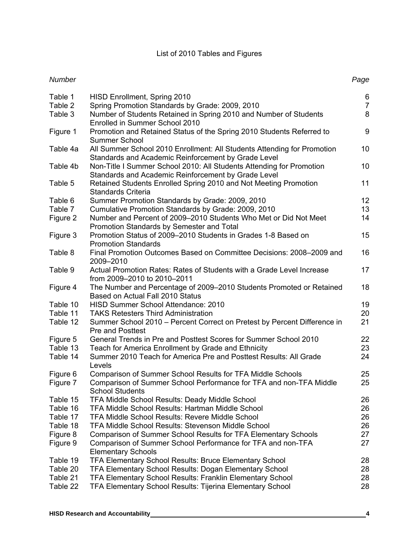# List of 2010 Tables and Figures

*Number Page*

#### Table 1 HISD Enrollment, Spring 2010 6 6 Table 2 Spring Promotion Standards by Grade: 2009, 2010 Table 3 Number of Students Retained in Spring 2010 and Number of Students Enrolled in Summer School 2010 8 Figure 1 Promotion and Retained Status of the Spring 2010 Students Referred to Summer School 9 Table 4a All Summer School 2010 Enrollment: All Students Attending for Promotion Standards and Academic Reinforcement by Grade Level 10 Table 4b Non-Title I Summer School 2010: All Students Attending for Promotion Standards and Academic Reinforcement by Grade Level 10 Table 5 Retained Students Enrolled Spring 2010 and Not Meeting Promotion Standards Criteria 11 Table 6 Summer Promotion Standards by Grade: 2009, 2010 Table 7 Cumulative Promotion Standards by Grade: 2009, 2010 Figure 2 Number and Percent of 2009–2010 Students Who Met or Did Not Meet Promotion Standards by Semester and Total 14 Figure 3 Promotion Status of 2009–2010 Students in Grades 1-8 Based on Promotion Standards 15 Table 8 Final Promotion Outcomes Based on Committee Decisions: 2008–2009 and 2009–2010 16 Table 9 Actual Promotion Rates: Rates of Students with a Grade Level Increase from 2009–2010 to 2010–2011 17 Figure 4 The Number and Percentage of 2009–2010 Students Promoted or Retained Based on Actual Fall 2010 Status 18 Table 10 HISD Summer School Attendance: 2010 19 Table 11 TAKS Retesters Third Administration 20 Table 12 Summer School 2010 – Percent Correct on Pretest by Percent Difference in Pre and Posttest 21 Figure 5 General Trends in Pre and Posttest Scores for Summer School 2010 22 Table 13 Teach for America Enrollment by Grade and Ethnicity 23 Table 14 Summer 2010 Teach for America Pre and Posttest Results: All Grade Levels 24 Figure 6 Comparison of Summer School Results for TFA Middle Schools 25 Figure 7 Comparison of Summer School Performance for TFA and non-TFA Middle School Students 25 Table 15 TFA Middle School Results: Deady Middle School 26 Table 16 TFA Middle School Results: Hartman Middle School 26 Table 17 TFA Middle School Results: Revere Middle School 26 Table 18 TFA Middle School Results: Stevenson Middle School 26 Figure 8 Comparison of Summer School Results for TFA Elementary Schools 27 Figure 9 Comparison of Summer School Performance for TFA and non-TFA Elementary Schools 27 Table 19 TFA Elementary School Results: Bruce Elementary School 28 Table 20 TFA Elementary School Results: Dogan Elementary School 28 Table 21 TFA Elementary School Results: Franklin Elementary School 28

Table 22 TFA Elementary School Results: Tijerina Elementary School 28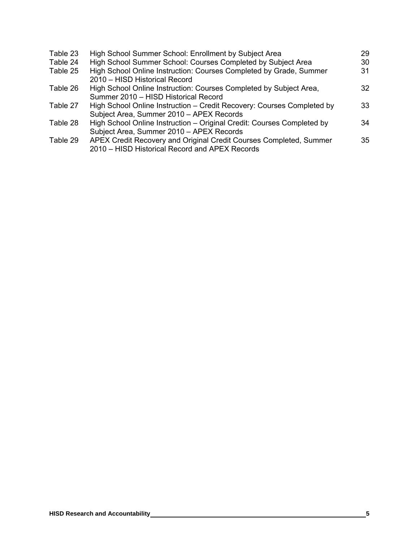| Table 23 | High School Summer School: Enrollment by Subject Area                                                                | 29 |
|----------|----------------------------------------------------------------------------------------------------------------------|----|
| Table 24 | High School Summer School: Courses Completed by Subject Area                                                         | 30 |
| Table 25 | High School Online Instruction: Courses Completed by Grade, Summer<br>2010 - HISD Historical Record                  | 31 |
| Table 26 | High School Online Instruction: Courses Completed by Subject Area,<br>Summer 2010 - HISD Historical Record           | 32 |
| Table 27 | High School Online Instruction - Credit Recovery: Courses Completed by<br>Subject Area, Summer 2010 - APEX Records   | 33 |
| Table 28 | High School Online Instruction - Original Credit: Courses Completed by<br>Subject Area, Summer 2010 - APEX Records   | 34 |
| Table 29 | APEX Credit Recovery and Original Credit Courses Completed, Summer<br>2010 – HISD Historical Record and APEX Records | 35 |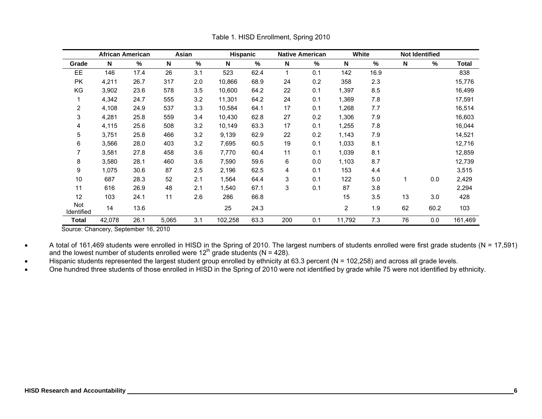|                   | <b>African American</b> |      | Asian |      | <b>Hispanic</b> |      |              | <b>Native American</b> | White          |      |    | <b>Not Identified</b> |         |
|-------------------|-------------------------|------|-------|------|-----------------|------|--------------|------------------------|----------------|------|----|-----------------------|---------|
| Grade             | N                       | %    | N     | $\%$ | N               | %    | N            | %                      | N              | %    | N  | %                     | Total   |
| EE                | 146                     | 17.4 | 26    | 3.1  | 523             | 62.4 | $\mathbf{1}$ | 0.1                    | 142            | 16.9 |    |                       | 838     |
| <b>PK</b>         | 4,211                   | 26.7 | 317   | 2.0  | 10,866          | 68.9 | 24           | 0.2                    | 358            | 2.3  |    |                       | 15,776  |
| KG                | 3,902                   | 23.6 | 578   | 3.5  | 10,600          | 64.2 | 22           | 0.1                    | 1,397          | 8.5  |    |                       | 16,499  |
|                   | 4,342                   | 24.7 | 555   | 3.2  | 11,301          | 64.2 | 24           | 0.1                    | 1,369          | 7.8  |    |                       | 17,591  |
| 2                 | 4,108                   | 24.9 | 537   | 3.3  | 10,584          | 64.1 | 17           | 0.1                    | 1,268          | 7.7  |    |                       | 16,514  |
| 3                 | 4,281                   | 25.8 | 559   | 3.4  | 10,430          | 62.8 | 27           | 0.2                    | 1,306          | 7.9  |    |                       | 16,603  |
| 4                 | 4,115                   | 25.6 | 508   | 3.2  | 10,149          | 63.3 | 17           | 0.1                    | 1,255          | 7.8  |    |                       | 16,044  |
| 5                 | 3,751                   | 25.8 | 466   | 3.2  | 9,139           | 62.9 | 22           | 0.2                    | 1,143          | 7.9  |    |                       | 14,521  |
| 6                 | 3,566                   | 28.0 | 403   | 3.2  | 7,695           | 60.5 | 19           | 0.1                    | 1,033          | 8.1  |    |                       | 12,716  |
|                   | 3,581                   | 27.8 | 458   | 3.6  | 7,770           | 60.4 | 11           | 0.1                    | 1,039          | 8.1  |    |                       | 12,859  |
| 8                 | 3,580                   | 28.1 | 460   | 3.6  | 7,590           | 59.6 | 6            | 0.0                    | 1,103          | 8.7  |    |                       | 12,739  |
| 9                 | 1,075                   | 30.6 | 87    | 2.5  | 2,196           | 62.5 | 4            | 0.1                    | 153            | 4.4  |    |                       | 3,515   |
| 10                | 687                     | 28.3 | 52    | 2.1  | 1,564           | 64.4 | 3            | 0.1                    | 122            | 5.0  |    | 0.0                   | 2,429   |
| 11                | 616                     | 26.9 | 48    | 2.1  | 1,540           | 67.1 | 3            | 0.1                    | 87             | 3.8  |    |                       | 2,294   |
| 12                | 103                     | 24.1 | 11    | 2.6  | 286             | 66.8 |              |                        | 15             | 3.5  | 13 | 3.0                   | 428     |
| Not<br>Identified | 14                      | 13.6 |       |      | 25              | 24.3 |              |                        | $\overline{2}$ | 1.9  | 62 | 60.2                  | 103     |
| <b>Total</b>      | 42,078                  | 26.1 | 5,065 | 3.1  | 102,258         | 63.3 | 200          | 0.1                    | 11,792         | 7.3  | 76 | 0.0                   | 161,469 |

Table 1. HISD Enrollment, Spring 2010

Source: Chancery, September 16, 2010

• A total of 161,469 students were enrolled in HISD in the Spring of 2010. The largest numbers of students enrolled were first grade students (N = 17,591) and the lowest number of students enrolled were  $12<sup>th</sup>$  grade students (N = 428).

• Hispanic students represented the largest student group enrolled by ethnicity at 63.3 percent (N = 102,258) and across all grade levels.

• One hundred three students of those enrolled in HISD in the Spring of 2010 were not identified by grade while 75 were not identified by ethnicity.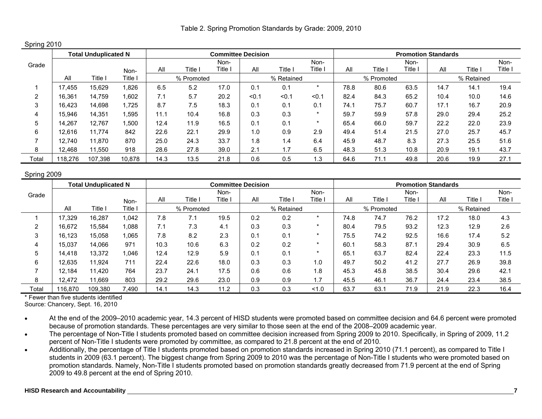Spring 2010

|       |         | <b>Total Unduplicated N</b> |        |      |            | <b>Committee Decision</b> |       |            |         |      |            | <b>Promotion Standards</b> |      |            |         |
|-------|---------|-----------------------------|--------|------|------------|---------------------------|-------|------------|---------|------|------------|----------------------------|------|------------|---------|
| Grade |         |                             |        |      |            | Non-                      |       |            | Non-    |      |            | Non-                       |      |            | Non-    |
|       |         |                             | Non-   | All  | Title I    | Title                     | All   | Title i    | Title i | All  | Title,     | Title i                    | All  | Title      | Title i |
|       | All     | Title ।                     | Title, |      | % Promoted |                           |       | % Retained |         |      | % Promoted |                            |      | % Retained |         |
|       | 17.455  | 15.629                      | ,826   | 6.5  | 5.2        | 17.0                      | 0.1   | 0.1        |         | 78.8 | 80.6       | 63.5                       | 14.7 | 14.1       | 19.4    |
| າ     | 16,361  | 14,759                      | ,602   | 7.1  | 5.7        | 20.2                      | < 0.1 | < 0.1      | < 0.1   | 82.4 | 84.3       | 65.2                       | 10.4 | 10.0       | 14.6    |
| 3     | 16.423  | 14.698                      | 1.725  | 8.7  | 7.5        | 18.3                      | 0.1   | 0.1        | 0.1     | 74.1 | 75.7       | 60.7                       | 17.1 | 16.7       | 20.9    |
|       | 15,946  | 14,351                      | .595   | 11.1 | 10.4       | 16.8                      | 0.3   | 0.3        |         | 59.7 | 59.9       | 57.8                       | 29.0 | 29.4       | 25.2    |
| 5     | 14,267  | 12.767                      | ,500   | 12.4 | 11.9       | 16.5                      | 0.1   | 0.1        | ÷       | 65.4 | 66.0       | 59.7                       | 22.2 | 22.0       | 23.9    |
| 6     | 12.616  | 11.774                      | 842    | 22.6 | 22.1       | 29.9                      | 1.0   | 0.9        | 2.9     | 49.4 | 51.4       | 21.5                       | 27.0 | 25.7       | 45.7    |
|       | 12.740  | 11.870                      | 870    | 25.0 | 24.3       | 33.7                      | .8    | 1.4        | 6.4     | 45.9 | 48.7       | 8.3                        | 27.3 | 25.5       | 51.6    |
| 8     | 12.468  | 11.550                      | 918    | 28.6 | 27.8       | 39.0                      | 2.1   | 1.7        | 6.5     | 48.3 | 51.3       | 10.8                       | 20.9 | 19.1       | 43.7    |
| Total | 118,276 | 107,398                     | 10.878 | 14.3 | 13.5       | 21.8                      | 0.6   | 0.5        | 1.3     | 64.6 | 71.1       | 49.8                       | 20.6 | 19.9       | 27.1    |

## Spring 2009

|       |         | <b>Total Unduplicated N</b> |         |      |                | <b>Committee Decision</b> |     |            |         |      |            | <b>Promotion Standards</b> |      |            |       |
|-------|---------|-----------------------------|---------|------|----------------|---------------------------|-----|------------|---------|------|------------|----------------------------|------|------------|-------|
| Grade |         |                             |         |      |                | Non-                      |     |            | Non-    |      |            | Non-                       |      |            | Non-  |
|       |         |                             | Non-    | All  | <b>Title</b> l | ا Title                   | All | Title l    | Title   | All  | Title      | Γitle                      | All  | Title      | Title |
|       | All     | Title                       | Title l |      | % Promoted     |                           |     | % Retained |         |      | % Promoted |                            |      | % Retained |       |
|       | 17.329  | 16.287                      | 1.042   | 7.8  | 7.1            | 19.5                      | 0.2 | 0.2        | $\star$ | 74.8 | 74.7       | 76.2                       | 17.2 | 18.0       | 4.3   |
|       | 16,672  | 15.584                      | 1.088   | 7.1  | 7.3            | 4.1                       | 0.3 | 0.3        |         | 80.4 | 79.5       | 93.2                       | 12.3 | 12.9       | 2.6   |
| 3     | 16,123  | 15.058                      | 1,065   | 7.8  | 8.2            | 2.3                       | 0.1 | 0.1        | ÷       | 75.5 | 74.2       | 92.5                       | 16.6 | 17.4       | 5.2   |
| 4     | 15,037  | 14.066                      | 971     | 10.3 | 10.6           | 6.3                       | 0.2 | 0.2        | $\star$ | 60.1 | 58.3       | 87.1                       | 29.4 | 30.9       | 6.5   |
| 5     | 14.418  | 13.372                      | 1.046   | 12.4 | 12.9           | 5.9                       | 0.1 | 0.1        | $\star$ | 65.1 | 63.7       | 82.4                       | 22.4 | 23.3       | 11.5  |
| 6     | 12.635  | 11.924                      | 711     | 22.4 | 22.6           | 18.0                      | 0.3 | 0.3        | 1.0     | 49.7 | 50.2       | 41.2                       | 27.7 | 26.9       | 39.8  |
|       | 12.184  | 11.420                      | 764     | 23.7 | 24.1           | 17.5                      | 0.6 | 0.6        | 1.8     | 45.3 | 45.8       | 38.5                       | 30.4 | 29.6       | 42.1  |
| 8     | 12.472  | 11.669                      | 803     | 29.2 | 29.6           | 23.0                      | 0.9 | 0.9        | 1.7     | 45.5 | 46.7       | 36.7                       | 24.4 | 23.4       | 38.5  |
| Total | 116,870 | 109,380                     | 7,490   | 14.1 | 14.3           | 11.2                      | 0.3 | 0.3        | 1.0     | 63.7 | 63.        | 71.9                       | 21.9 | 22.3       | 16.4  |

\* Fewer than five students identified

Source: Chancery, Sept. 16, 2010

• At the end of the 2009–2010 academic year, 14.3 percent of HISD students were promoted based on committee decision and 64.6 percent were promoted because of promotion standards. These percentages are very similar to those seen at the end of the 2008–2009 academic year.

• The percentage of Non-Title I students promoted based on committee decision increased from Spring 2009 to 2010. Specifically, in Spring of 2009, 11.2 percent of Non-Title I students were promoted by committee, as compared to 21.8 percent at the end of 2010.

• Additionally, the percentage of Title I students promoted based on promotion standards increased in Spring 2010 (71.1 percent), as compared to Title I students in 2009 (63.1 percent). The biggest change from Spring 2009 to 2010 was the percentage of Non-Title I students who were promoted based on promotion standards. Namely, Non-Title I students promoted based on promotion standards greatly decreased from 71.9 percent at the end of Spring 2009 to 49.8 percent at the end of Spring 2010.

## **HISD Research and Accountability 7**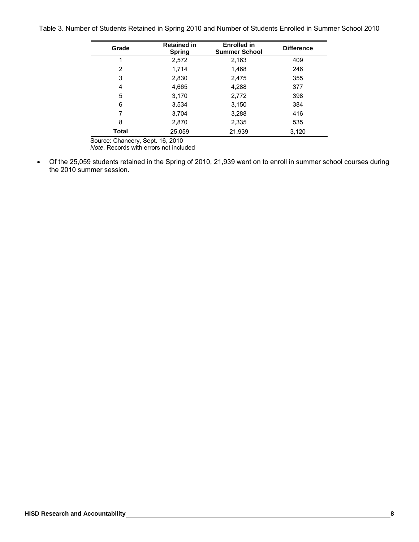Table 3. Number of Students Retained in Spring 2010 and Number of Students Enrolled in Summer School 2010

| Grade        | <b>Retained in</b><br><b>Spring</b> | <b>Enrolled in</b><br><b>Summer School</b> | <b>Difference</b> |
|--------------|-------------------------------------|--------------------------------------------|-------------------|
|              | 2,572                               | 2,163                                      | 409               |
| 2            | 1,714                               | 1,468                                      | 246               |
| 3            | 2,830                               | 2,475                                      | 355               |
| 4            | 4,665                               | 4,288                                      | 377               |
| 5            | 3,170                               | 2,772                                      | 398               |
| 6            | 3,534                               | 3,150                                      | 384               |
| 7            | 3,704                               | 3,288                                      | 416               |
| 8            | 2,870                               | 2,335                                      | 535               |
| <b>Total</b> | 25,059                              | 21,939                                     | 3,120             |

Source: Chancery, Sept. 16, 2010

*Note*. Records with errors not included

• Of the 25,059 students retained in the Spring of 2010, 21,939 went on to enroll in summer school courses during the 2010 summer session.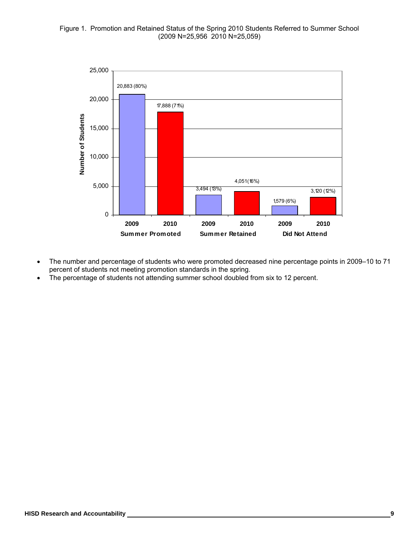# Figure 1. Promotion and Retained Status of the Spring 2010 Students Referred to Summer School (2009 N=25,956 2010 N=25,059)



- The number and percentage of students who were promoted decreased nine percentage points in 2009–10 to 71 percent of students not meeting promotion standards in the spring.
- The percentage of students not attending summer school doubled from six to 12 percent.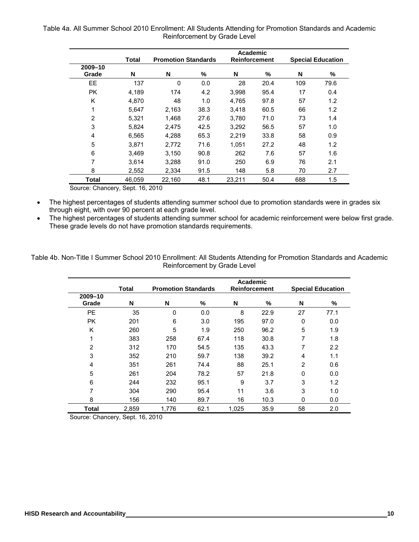Table 4a. All Summer School 2010 Enrollment: All Students Attending for Promotion Standards and Academic Reinforcement by Grade Level

|                  | Total  | <b>Promotion Standards</b> |      | Academic<br><b>Reinforcement</b> |      |     | <b>Special Education</b> |
|------------------|--------|----------------------------|------|----------------------------------|------|-----|--------------------------|
| 2009-10<br>Grade | N      | N                          | %    | N                                | %    | N   | %                        |
| <b>EE</b>        | 137    | 0                          | 0.0  | 28                               | 20.4 | 109 | 79.6                     |
| PK.              | 4,189  | 174                        | 4.2  | 3,998                            | 95.4 | 17  | 0.4                      |
| K                | 4,870  | 48                         | 1.0  | 4,765                            | 97.8 | 57  | 1.2                      |
| 1                | 5,647  | 2,163                      | 38.3 | 3,418                            | 60.5 | 66  | 1.2                      |
| $\overline{2}$   | 5,321  | 1,468                      | 27.6 | 3,780                            | 71.0 | 73  | 1.4                      |
| 3                | 5,824  | 2.475                      | 42.5 | 3,292                            | 56.5 | 57  | 1.0                      |
| 4                | 6.565  | 4.288                      | 65.3 | 2.219                            | 33.8 | 58  | 0.9                      |
| 5                | 3,871  | 2,772                      | 71.6 | 1,051                            | 27.2 | 48  | 1.2                      |
| 6                | 3.469  | 3,150                      | 90.8 | 262                              | 7.6  | 57  | 1.6                      |
| 7                | 3.614  | 3.288                      | 91.0 | 250                              | 6.9  | 76  | 2.1                      |
| 8                | 2,552  | 2,334                      | 91.5 | 148                              | 5.8  | 70  | 2.7                      |
| <b>Total</b>     | 46.059 | 22,160                     | 48.1 | 23,211                           | 50.4 | 688 | 1.5                      |

Source: Chancery, Sept. 16, 2010

• The highest percentages of students attending summer school due to promotion standards were in grades six through eight, with over 90 percent at each grade level.

The highest percentages of students attending summer school for academic reinforcement were below first grade. These grade levels do not have promotion standards requirements.

Table 4b. Non-Title I Summer School 2010 Enrollment: All Students Attending for Promotion Standards and Academic Reinforcement by Grade Level

|                  | <b>Total</b> | <b>Promotion Standards</b> |      | Academic | <b>Reinforcement</b> |                | <b>Special Education</b> |
|------------------|--------------|----------------------------|------|----------|----------------------|----------------|--------------------------|
| 2009-10<br>Grade | N            | N                          | %    | N        | %                    | N              | %                        |
| <b>PE</b>        | 35           | 0                          | 0.0  | 8        | 22.9                 | 27             | 77.1                     |
| <b>PK</b>        | 201          | 6                          | 3.0  | 195      | 97.0                 | $\mathbf{0}$   | 0.0                      |
| K                | 260          | 5                          | 1.9  | 250      | 96.2                 | 5              | 1.9                      |
| 1                | 383          | 258                        | 67.4 | 118      | 30.8                 | 7              | 1.8                      |
| $\overline{2}$   | 312          | 170                        | 54.5 | 135      | 43.3                 | 7              | 2.2                      |
| 3                | 352          | 210                        | 59.7 | 138      | 39.2                 | 4              | 1.1                      |
| 4                | 351          | 261                        | 74.4 | 88       | 25.1                 | $\overline{2}$ | 0.6                      |
| 5                | 261          | 204                        | 78.2 | 57       | 21.8                 | 0              | 0.0                      |
| 6                | 244          | 232                        | 95.1 | 9        | 3.7                  | 3              | 1.2                      |
| 7                | 304          | 290                        | 95.4 | 11       | 3.6                  | 3              | 1.0                      |
| 8                | 156          | 140                        | 89.7 | 16       | 10.3                 | 0              | 0.0                      |
| Total            | 2,859        | 1.776                      | 62.1 | 1.025    | 35.9                 | 58             | 2.0                      |

Source: Chancery, Sept. 16, 2010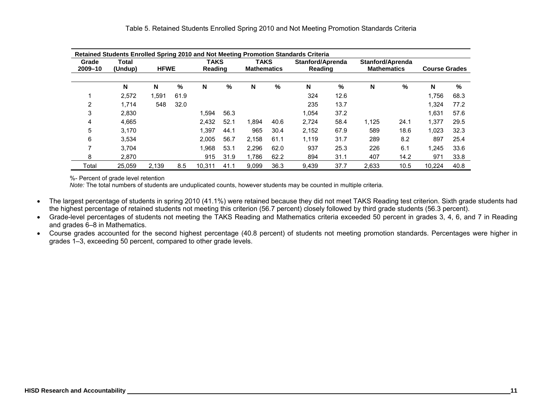|                  | Retained Students Enrolled Spring 2010 and Not Meeting Promotion Standards Criteria |             |      |                        |      |                                   |      |                             |      |                                        |      |                      |      |  |
|------------------|-------------------------------------------------------------------------------------|-------------|------|------------------------|------|-----------------------------------|------|-----------------------------|------|----------------------------------------|------|----------------------|------|--|
| Grade<br>2009-10 | <b>Total</b><br>(Undup)                                                             | <b>HFWE</b> |      | <b>TAKS</b><br>Reading |      | <b>TAKS</b><br><b>Mathematics</b> |      | Stanford/Aprenda<br>Reading |      | Stanford/Aprenda<br><b>Mathematics</b> |      | <b>Course Grades</b> |      |  |
|                  | N                                                                                   | N           | %    | N                      | %    | N                                 | %    | N                           | %    | N                                      | %    | N                    | %    |  |
|                  | 2,572                                                                               | .591        | 61.9 |                        |      |                                   |      | 324                         | 12.6 |                                        |      | 1.756                | 68.3 |  |
| 2                | 1.714                                                                               | 548         | 32.0 |                        |      |                                   |      | 235                         | 13.7 |                                        |      | 1.324                | 77.2 |  |
| 3                | 2,830                                                                               |             |      | .594                   | 56.3 |                                   |      | 1,054                       | 37.2 |                                        |      | 1,631                | 57.6 |  |
| 4                | 4,665                                                                               |             |      | 2,432                  | 52.1 | 1.894                             | 40.6 | 2.724                       | 58.4 | 1,125                                  | 24.1 | 1,377                | 29.5 |  |
| 5                | 3,170                                                                               |             |      | 1.397                  | 44.1 | 965                               | 30.4 | 2,152                       | 67.9 | 589                                    | 18.6 | 1,023                | 32.3 |  |
| 6                | 3,534                                                                               |             |      | 2,005                  | 56.7 | 2.158                             | 61.1 | 1,119                       | 31.7 | 289                                    | 8.2  | 897                  | 25.4 |  |
| 7                | 3.704                                                                               |             |      | 1.968                  | 53.1 | 2.296                             | 62.0 | 937                         | 25.3 | 226                                    | 6.1  | 1,245                | 33.6 |  |
| 8                | 2,870                                                                               |             |      | 915                    | 31.9 | 1.786                             | 62.2 | 894                         | 31.1 | 407                                    | 14.2 | 971                  | 33.8 |  |
| Total            | 25.059                                                                              | 2.139       | 8.5  | 10.311                 | 41.1 | 9.099                             | 36.3 | 9.439                       | 37.7 | 2.633                                  | 10.5 | 10.224               | 40.8 |  |

%- Percent of grade level retention

*Note:* The total numbers of students are unduplicated counts, however students may be counted in multiple criteria.

- The largest percentage of students in spring 2010 (41.1%) were retained because they did not meet TAKS Reading test criterion. Sixth grade students had the highest percentage of retained students not meeting this criterion (56.7 percent) closely followed by third grade students (56.3 percent).
- Grade-level percentages of students not meeting the TAKS Reading and Mathematics criteria exceeded 50 percent in grades 3, 4, 6, and 7 in Reading and grades 6–8 in Mathematics.
- Course grades accounted for the second highest percentage (40.8 percent) of students not meeting promotion standards. Percentages were higher in grades 1–3, exceeding 50 percent, compared to other grade levels.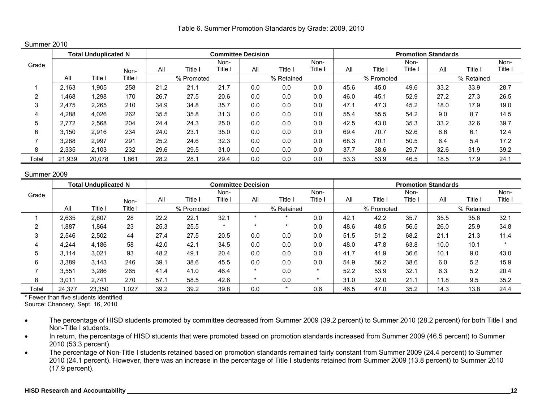Table 6. Summer Promotion Standards by Grade: 2009, 2010

# Summer 2010

|       |        | <b>Total Unduplicated N</b> |       |      |            | <b>Committee Decision</b> |     |            |       |      |            | <b>Promotion Standards</b>                                                                     |      |            |         |
|-------|--------|-----------------------------|-------|------|------------|---------------------------|-----|------------|-------|------|------------|------------------------------------------------------------------------------------------------|------|------------|---------|
| Grade |        |                             |       |      |            | Non-                      |     |            | Non-  |      |            | Non-                                                                                           |      |            | Non-    |
|       |        |                             | Non-  | All  | Title l    | Title <sub>1</sub>        | All | Title I    | Title | All  | Title \    | ${\sf \small\sf \small\sf \small\sf \small\sf \small\sf \small\sf \small\sf \small I}}$ itle i | All  | Title      | Title I |
|       | All    | Title l                     | Title |      | % Promoted |                           |     | % Retained |       |      | % Promoted |                                                                                                |      | % Retained |         |
|       | 2.163  | .905                        | 258   | 21.2 | 21.1       | 21.7                      | 0.0 | 0.0        | 0.0   | 45.6 | 45.0       | 49.6                                                                                           | 33.2 | 33.9       | 28.7    |
| C     | 1,468  | 1,298                       | 170   | 26.7 | 27.5       | 20.6                      | 0.0 | 0.0        | 0.0   | 46.0 | 45.1       | 52.9                                                                                           | 27.2 | 27.3       | 26.5    |
| 3     | 2.475  | 2,265                       | 210   | 34.9 | 34.8       | 35.7                      | 0.0 | 0.0        | 0.0   | 47.  | 47.3       | 45.2                                                                                           | 18.0 | 17.9       | 19.0    |
|       | 4,288  | 4.026                       | 262   | 35.5 | 35.8       | 31.3                      | 0.0 | 0.0        | 0.0   | 55.4 | 55.5       | 54.2                                                                                           | 9.0  | 8.7        | 14.5    |
| 5     | 2.772  | 2.568                       | 204   | 24.4 | 24.3       | 25.0                      | 0.0 | 0.0        | 0.0   | 42.5 | 43.0       | 35.3                                                                                           | 33.2 | 32.6       | 39.7    |
| 6     | 3.150  | 2.916                       | 234   | 24.0 | 23.1       | 35.0                      | 0.0 | 0.0        | 0.0   | 69.4 | 70.7       | 52.6                                                                                           | 6.6  | 6.1        | 12.4    |
|       | 3.288  | 2.997                       | 291   | 25.2 | 24.6       | 32.3                      | 0.0 | 0.0        | 0.0   | 68.3 | 70.1       | 50.5                                                                                           | 6.4  | 5.4        | 17.2    |
| 8     | 2,335  | 2.103                       | 232   | 29.6 | 29.5       | 31.0                      | 0.0 | 0.0        | 0.0   | 37.7 | 38.6       | 29.7                                                                                           | 32.6 | 31.9       | 39.2    |
| Total | 21,939 | 20.078                      | .861  | 28.2 | 28.1       | 29.4                      | 0.0 | 0.0        | 0.0   | 53.3 | 53.9       | 46.5                                                                                           | 18.5 | 17.9       | 24.1    |

#### Summer 2009

|       |        | <b>Total Unduplicated N</b> |       |      |            | <b>Committee Decision</b> |         |            |         |      |            | <b>Promotion Standards</b> |      |            |         |
|-------|--------|-----------------------------|-------|------|------------|---------------------------|---------|------------|---------|------|------------|----------------------------|------|------------|---------|
| Grade |        |                             |       |      |            | Non-                      |         |            | Non-    |      |            | Non-                       |      |            | Non-    |
|       |        |                             | Non-  | All  | Title      | Title                     | All     | Title      | Title   | All  | Title      | Title                      | Al   | Title      | Title i |
|       | All    | Title                       | Title |      | % Promoted |                           |         | % Retained |         |      | % Promoted |                            |      | % Retained |         |
|       | 2,635  | 2,607                       | 28    | 22.2 | 22.1       | 32.7                      | ÷       |            | 0.0     | 42.7 | 42.2       | 35.7                       | 35.5 | 35.6       | 32.1    |
| 2     | 1,887  | .864                        | 23    | 25.3 | 25.5       | $\star$                   | $\star$ |            | 0.0     | 48.6 | 48.5       | 56.5                       | 26.0 | 25.9       | 34.8    |
| 3     | 2.546  | 2,502                       | 44    | 27.4 | 27.5       | 20.5                      | 0.0     | 0.0        | 0.0     | 51.5 | 51.2       | 68.2                       | 21.1 | 21.3       | 11.4    |
|       | 4,244  | 4,186                       | 58    | 42.0 | 42.1       | 34.5                      | 0.0     | 0.0        | 0.0     | 48.0 | 47.8       | 63.8                       | 10.0 | 10.1       | $\star$ |
| 5     | 3.114  | 3,021                       | 93    | 48.2 | 49.1       | 20.4                      | 0.0     | 0.0        | 0.0     | 41.7 | 41.9       | 36.6                       | 10.1 | 9.0        | 43.0    |
| 6     | 3.389  | 3,143                       | 246   | 39.1 | 38.6       | 45.5                      | 0.0     | 0.0        | 0.0     | 54.9 | 56.2       | 38.6                       | 6.0  | 5.2        | 15.9    |
|       | 3.551  | 3,286                       | 265   | 41.4 | 41.0       | 46.4                      | $\star$ | 0.0        | $\star$ | 52.2 | 53.9       | 32.1                       | 6.3  | 5.2        | 20.4    |
| 8     | 3.011  | 2.741                       | 270   | 57.1 | 58.5       | 42.6                      | $\star$ | 0.0        | $\star$ | 31.0 | 32.0       | 21.1                       | 11.8 | 9.5        | 35.2    |
| Total | 24.377 | 23,350                      | ,027  | 39.2 | 39.2       | 39.8                      | 0.0     |            | 0.6     | 46.5 | 47.0       | 35.2                       | 14.3 | 13.8       | 24.4    |

\* Fewer than five students identified

Source: Chancery, Sept. 16, 2010

- The percentage of HISD students promoted by committee decreased from Summer 2009 (39.2 percent) to Summer 2010 (28.2 percent) for both Title I and Non-Title I students.
- In return, the percentage of HISD students that were promoted based on promotion standards increased from Summer 2009 (46.5 percent) to Summer 2010 (53.3 percent).
- The percentage of Non-Title I students retained based on promotion standards remained fairly constant from Summer 2009 (24.4 percent) to Summer 2010 (24.1 percent). However, there was an increase in the percentage of Title I students retained from Summer 2009 (13.8 percent) to Summer 2010 (17.9 percent).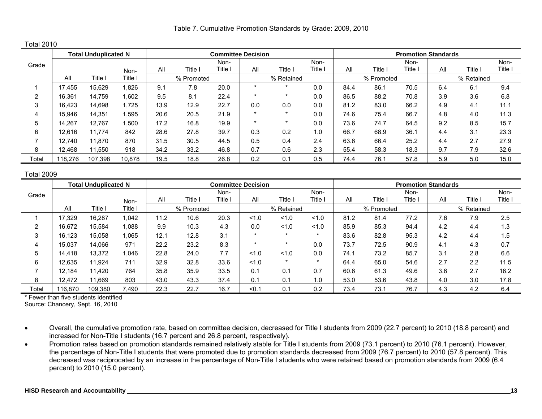Table 7. Cumulative Promotion Standards by Grade: 2009, 2010

Total 2010

|       |         | <b>Total Unduplicated N</b> |        |            |       | <b>Committee Decision</b> |         |            |         |      |            | <b>Promotion Standards</b> |     |            |         |
|-------|---------|-----------------------------|--------|------------|-------|---------------------------|---------|------------|---------|------|------------|----------------------------|-----|------------|---------|
| Grade |         |                             |        |            |       | Non-                      |         |            | Non-    |      |            | Non-                       |     |            | Non-    |
|       |         |                             | Non-   | All        | Title | Title i                   | All     | Title i    | Title I | All  | Title I    | $T$ itle                   | All | Title      | Title I |
|       | All     | Title I                     | Title. | % Promoted |       |                           |         | % Retained |         |      | % Promoted |                            |     | % Retained |         |
|       | 17.455  | 15,629                      | ,826   | 9.1        | 7.8   | 20.0                      |         |            | 0.0     | 84.4 | 86.1       | 70.5                       | 6.4 | 6.1        | 9.4     |
|       | 16,361  | 14.759                      | .602   | 9.5        | 8.1   | 22.4                      | $\star$ |            | 0.0     | 86.5 | 88.2       | 70.8                       | 3.9 | 3.6        | 6.8     |
| 3     | 16,423  | 14,698                      | 1,725  | 13.9       | 12.9  | 22.7                      | 0.0     | 0.0        | 0.0     | 81.2 | 83.0       | 66.2                       | 4.9 | 4.1        | 11.1    |
| 4     | 15,946  | 14,351                      | .595   | 20.6       | 20.5  | 21.9                      | $\star$ | $\star$    | 0.0     | 74.6 | 75.4       | 66.7                       | 4.8 | 4.0        | 11.3    |
| 5     | 14.267  | 12.767                      | ,500   | 17.2       | 16.8  | 19.9                      | $\star$ |            | 0.0     | 73.6 | 74.7       | 64.5                       | 9.2 | 8.5        | 15.7    |
| 6     | 12,616  | 11.774                      | 842    | 28.6       | 27.8  | 39.7                      | 0.3     | 0.2        | 1.0     | 66.7 | 68.9       | 36.1                       | 4.4 | 3.1        | 23.3    |
|       | 12.740  | 11.870                      | 870    | 31.5       | 30.5  | 44.5                      | 0.5     | 0.4        | 2.4     | 63.6 | 66.4       | 25.2                       | 4.4 | 2.7        | 27.9    |
| 8     | 12.468  | 11.550                      | 918    | 34.2       | 33.2  | 46.8                      | 0.7     | 0.6        | 2.3     | 55.4 | 58.3       | 18.3                       | 9.7 | 7.9        | 32.6    |
| Total | 118.276 | 107.398                     | 10.878 | 19.5       | 18.8  | 26.8                      | 0.2     | 0.1        | 0.5     | 74.4 | 76.1       | 57.8                       | 5.9 | 5.0        | 15.0    |

## Total 2009

|       |         | <b>Total Unduplicated N</b> |         |      |            |         | <b>Committee Decision</b> |            |         |      |            | <b>Promotion Standards</b> |     |            |       |
|-------|---------|-----------------------------|---------|------|------------|---------|---------------------------|------------|---------|------|------------|----------------------------|-----|------------|-------|
| Grade |         |                             |         |      |            | Non-    |                           |            | Non-    |      |            | Non-                       |     |            | Non-  |
|       |         |                             | Non-    | All  | Title,     | Title i | All                       | Title I    | Title   | All  | Title      | Title                      | Al  | Title      | Title |
|       | All     | Title i                     | Title l |      | % Promoted |         |                           | % Retained |         |      | % Promoted |                            |     | % Retained |       |
|       | 17.329  | 16,287                      | 1,042   | 11.2 | 10.6       | 20.3    | 1.0                       | 1.0        | 1.0     | 81.2 | 81.4       | 77.2                       | 7.6 | 7.9        | 2.5   |
|       | 16,672  | 15.584                      | 1.088   | 9.9  | 10.3       | 4.3     | 0.0                       | 1.0        | 1.0     | 85.9 | 85.3       | 94.4                       | 4.2 | 4.4        | 1.3   |
| 3     | 16,123  | 15.058                      | 1,065   | 12.1 | 12.8       | 3.1     | $\ddot{\phantom{1}}$      | $\star$    | $\star$ | 83.6 | 82.8       | 95.3                       | 4.2 | 4.4        | 1.5   |
| 4     | 15,037  | 14.066                      | 971     | 22.2 | 23.2       | 8.3     | $\star$                   | $\star$    | 0.0     | 73.7 | 72.5       | 90.9                       | 4.1 | 4.3        | 0.7   |
| 5     | 14,418  | 13.372                      | 1,046   | 22.8 | 24.0       | 7.7     | 1.0                       | 1.0        | 0.0     | 74.1 | 73.2       | 85.7                       | 3.1 | 2.8        | 6.6   |
| 6     | 12.635  | 11.924                      | 711     | 32.9 | 32.8       | 33.6    | 1.0                       | $\star$    | $\star$ | 64.4 | 65.0       | 54.6                       | 2.7 | 2.2        | 11.5  |
|       | 12,184  | 11.420                      | 764     | 35.8 | 35.9       | 33.5    | 0.1                       | 0.1        | 0.7     | 60.6 | 61.3       | 49.6                       | 3.6 | 2.7        | 16.2  |
| 8     | 12.472  | 11.669                      | 803     | 43.0 | 43.3       | 37.4    | 0.1                       | 0.1        | 1.0     | 53.0 | 53.6       | 43.8                       | 4.0 | 3.0        | 17.8  |
| Total | 116,870 | 109,380                     | 7,490   | 22.3 | 22.7       | 16.7    | < 0.1                     | 0.1        | 0.2     | 73.4 | 73.7       | 76.7                       | 4.3 | 4.2        | 6.4   |

\* Fewer than five students identified

Source: Chancery, Sept. 16, 2010

- Overall, the cumulative promotion rate, based on committee decision, decreased for Title I students from 2009 (22.7 percent) to 2010 (18.8 percent) and increased for Non-Title I students (16.7 percent and 26.8 percent, respectively).
- Promotion rates based on promotion standards remained relatively stable for Title I students from 2009 (73.1 percent) to 2010 (76.1 percent). However, the percentage of Non-Title I students that were promoted due to promotion standards decreased from 2009 (76.7 percent) to 2010 (57.8 percent). This decreased was reciprocated by an increase in the percentage of Non-Title I students who were retained based on promotion standards from 2009 (6.4 percent) to 2010 (15.0 percent).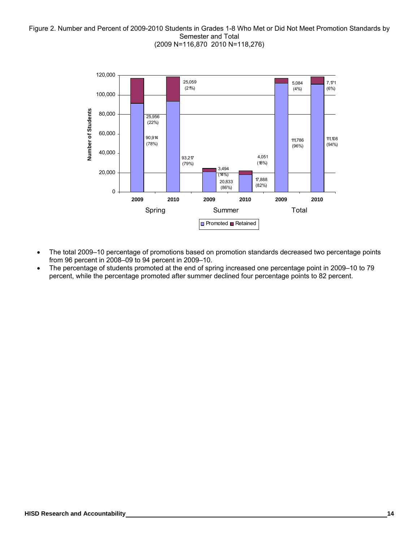## Figure 2. Number and Percent of 2009-2010 Students in Grades 1-8 Who Met or Did Not Meet Promotion Standards by Semester and Total (2009 N=116,870 2010 N=118,276)



- The total 2009–10 percentage of promotions based on promotion standards decreased two percentage points from 96 percent in 2008–09 to 94 percent in 2009–10.
- The percentage of students promoted at the end of spring increased one percentage point in 2009–10 to 79 percent, while the percentage promoted after summer declined four percentage points to 82 percent.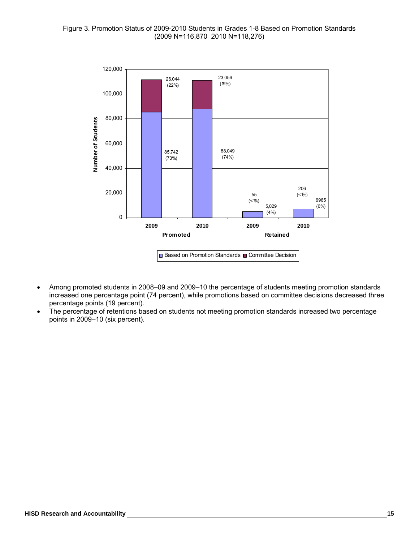

- Among promoted students in 2008–09 and 2009–10 the percentage of students meeting promotion standards increased one percentage point (74 percent), while promotions based on committee decisions decreased three percentage points (19 percent).
- The percentage of retentions based on students not meeting promotion standards increased two percentage points in 2009–10 (six percent).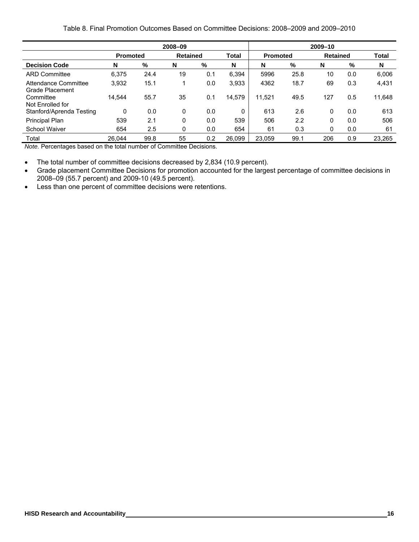# Table 8. Final Promotion Outcomes Based on Committee Decisions: 2008–2009 and 2009–2010

|                                         |                 |      | 2008-09         |     |              |                 |      | 2009-10         |     |        |
|-----------------------------------------|-----------------|------|-----------------|-----|--------------|-----------------|------|-----------------|-----|--------|
|                                         | <b>Promoted</b> |      | <b>Retained</b> |     | <b>Total</b> | <b>Promoted</b> |      | <b>Retained</b> |     | Total  |
| <b>Decision Code</b>                    | N               | %    | N               | %   | N            | N               | %    | N               | %   | N      |
| <b>ARD Committee</b>                    | 6,375           | 24.4 | 19              | 0.1 | 6.394        | 5996            | 25.8 | 10              | 0.0 | 6,006  |
| Attendance Committee<br>Grade Placement | 3,932           | 15.1 |                 | 0.0 | 3,933        | 4362            | 18.7 | 69              | 0.3 | 4,431  |
| Committee<br>Not Enrolled for           | 14,544          | 55.7 | 35              | 0.1 | 14,579       | 11.521          | 49.5 | 127             | 0.5 | 11,648 |
| Stanford/Aprenda Testing                | 0               | 0.0  | 0               | 0.0 | 0            | 613             | 2.6  | 0               | 0.0 | 613    |
| Principal Plan                          | 539             | 2.1  | 0               | 0.0 | 539          | 506             | 2.2  | $\mathbf{0}$    | 0.0 | 506    |
| School Waiver                           | 654             | 2.5  | 0               | 0.0 | 654          | 61              | 0.3  | 0               | 0.0 | 61     |
| Total                                   | 26.044          | 99.8 | 55              | 0.2 | 26,099       | 23,059          | 99.1 | 206             | 0.9 | 23,265 |

*Note.* Percentages based on the total number of Committee Decisions.

• The total number of committee decisions decreased by 2,834 (10.9 percent).

- Grade placement Committee Decisions for promotion accounted for the largest percentage of committee decisions in 2008–09 (55.7 percent) and 2009-10 (49.5 percent).
- Less than one percent of committee decisions were retentions.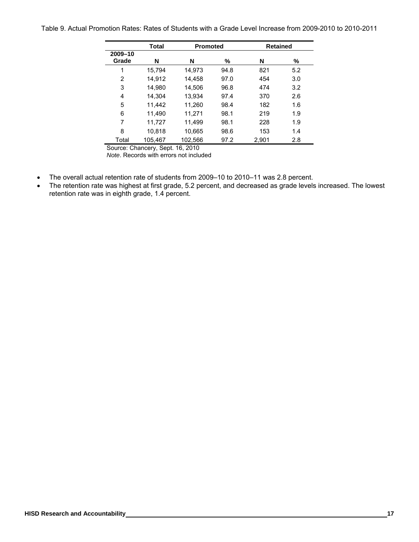Table 9. Actual Promotion Rates: Rates of Students with a Grade Level Increase from 2009-2010 to 2010-2011

|                  | <b>Total</b> | <b>Promoted</b> |      | <b>Retained</b> |     |
|------------------|--------------|-----------------|------|-----------------|-----|
| 2009-10<br>Grade | N            | N               | ℅    | N               | %   |
| 1                | 15.794       | 14,973          | 94.8 | 821             | 5.2 |
| $\overline{2}$   | 14,912       | 14.458          | 97.0 | 454             | 3.0 |
| 3                | 14,980       | 14,506          | 96.8 | 474             | 3.2 |
| 4                | 14.304       | 13,934          | 97.4 | 370             | 2.6 |
| 5                | 11.442       | 11,260          | 98.4 | 182             | 1.6 |
| 6                | 11,490       | 11,271          | 98.1 | 219             | 1.9 |
| 7                | 11,727       | 11,499          | 98.1 | 228             | 1.9 |
| 8                | 10.818       | 10,665          | 98.6 | 153             | 1.4 |
| Total            | 105.467      | 102,566         | 97.2 | 2,901           | 2.8 |

Source: Chancery, Sept. 16, 2010 *Note*. Records with errors not included

- The overall actual retention rate of students from 2009–10 to 2010–11 was 2.8 percent.
- The retention rate was highest at first grade, 5.2 percent, and decreased as grade levels increased. The lowest retention rate was in eighth grade, 1.4 percent.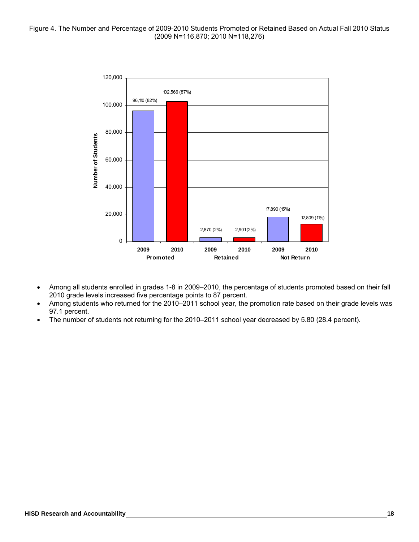

- Among all students enrolled in grades 1-8 in 2009–2010, the percentage of students promoted based on their fall 2010 grade levels increased five percentage points to 87 percent.
- Among students who returned for the 2010–2011 school year, the promotion rate based on their grade levels was 97.1 percent.
- The number of students not returning for the 2010–2011 school year decreased by 5.80 (28.4 percent).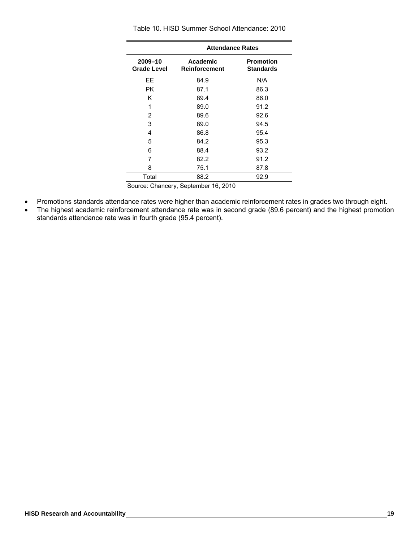|                               | <b>Attendance Rates</b>             |                                      |
|-------------------------------|-------------------------------------|--------------------------------------|
| 2009-10<br><b>Grade Level</b> | Academic<br><b>Reinforcement</b>    | <b>Promotion</b><br><b>Standards</b> |
| EE                            | 84.9                                | N/A                                  |
| <b>PK</b>                     | 87.1                                | 86.3                                 |
| Κ                             | 89.4                                | 86.0                                 |
| 1                             | 89.0                                | 91.2                                 |
| 2                             | 89.6                                | 92.6                                 |
| 3                             | 89.0                                | 94.5                                 |
| 4                             | 86.8                                | 95.4                                 |
| 5                             | 84.2                                | 95.3                                 |
| 6                             | 88.4                                | 93.2                                 |
| 7                             | 82.2                                | 91.2                                 |
| 8                             | 75.1                                | 87.8                                 |
| Total                         | 88.2                                | 92.9                                 |
|                               | Source: Chancery Sentember 16, 2010 |                                      |

Table 10. HISD Summer School Attendance: 2010

Source: Chancery, September 16, 2010

- Promotions standards attendance rates were higher than academic reinforcement rates in grades two through eight.
- The highest academic reinforcement attendance rate was in second grade (89.6 percent) and the highest promotion standards attendance rate was in fourth grade (95.4 percent).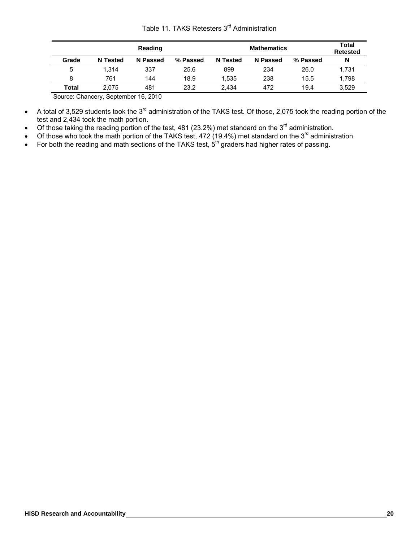|  | Table 11. TAKS Retesters 3 <sup>rd</sup> Administration |  |
|--|---------------------------------------------------------|--|
|--|---------------------------------------------------------|--|

|               |                 | Reading  |          |                 | <b>Mathematics</b> |          | Total<br><b>Retested</b> |
|---------------|-----------------|----------|----------|-----------------|--------------------|----------|--------------------------|
| Grade         | <b>N</b> Tested | N Passed | % Passed | <b>N</b> Tested | N Passed           | % Passed | N                        |
| 5             | 1.314           | 337      | 25.6     | 899             | 234                | 26.0     | 1,731                    |
| 8             | 761             | 144      | 18.9     | .535            | 238                | 15.5     | 1.798                    |
| Total         | 2.075           | 481      | 23.2     | 2.434           | 472                | 19.4     | 3,529                    |
| $\sim$<br>--- | ______          | .        |          |                 |                    |          |                          |

Source: Chancery, September 16, 2010

- A total of 3,529 students took the 3<sup>rd</sup> administration of the TAKS test. Of those, 2,075 took the reading portion of the test and 2,434 took the math portion.
- Of those taking the reading portion of the test, 481 (23.2%) met standard on the 3<sup>rd</sup> administration.
- Of those who took the math portion of the TAKS test, 472 (19.4%) met standard on the  $3^{rd}$  administration.
- For both the reading and math sections of the TAKS test,  $5<sup>th</sup>$  graders had higher rates of passing.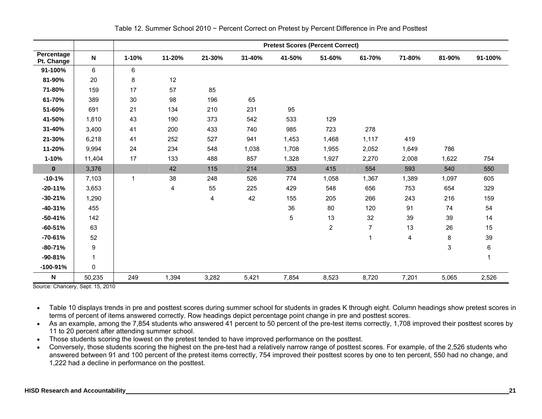|                          |              |        |        |        |        |        | <b>Pretest Scores (Percent Correct)</b> |        |        |        |             |
|--------------------------|--------------|--------|--------|--------|--------|--------|-----------------------------------------|--------|--------|--------|-------------|
| Percentage<br>Pt. Change | N            | 1-10%  | 11-20% | 21-30% | 31-40% | 41-50% | 51-60%                                  | 61-70% | 71-80% | 81-90% | 91-100%     |
| 91-100%                  | 6            | 6      |        |        |        |        |                                         |        |        |        |             |
| 81-90%                   | 20           | 8      | 12     |        |        |        |                                         |        |        |        |             |
| 71-80%                   | 159          | 17     | 57     | 85     |        |        |                                         |        |        |        |             |
| 61-70%                   | 389          | $30\,$ | 98     | 196    | 65     |        |                                         |        |        |        |             |
| 51-60%                   | 691          | 21     | 134    | 210    | 231    | 95     |                                         |        |        |        |             |
| 41-50%                   | 1,810        | 43     | 190    | 373    | 542    | 533    | 129                                     |        |        |        |             |
| 31-40%                   | 3,400        | 41     | 200    | 433    | 740    | 985    | 723                                     | 278    |        |        |             |
| 21-30%                   | 6,218        | 41     | 252    | 527    | 941    | 1,453  | 1,468                                   | 1,117  | 419    |        |             |
| 11-20%                   | 9,994        | 24     | 234    | 548    | 1,038  | 1,708  | 1,955                                   | 2,052  | 1,649  | 786    |             |
| 1-10%                    | 11,404       | 17     | 133    | 488    | 857    | 1,328  | 1,927                                   | 2,270  | 2,008  | 1,622  | 754         |
| $\mathbf 0$              | 3,376        |        | 42     | 115    | 214    | 353    | 415                                     | 554    | 593    | 540    | 550         |
| $-10-1%$                 | 7,103        | 1      | 38     | 248    | 526    | 774    | 1,058                                   | 1,367  | 1,389  | 1,097  | 605         |
| $-20 - 11%$              | 3,653        |        | 4      | 55     | 225    | 429    | 548                                     | 656    | 753    | 654    | 329         |
| $-30 - 21%$              | 1,290        |        |        | 4      | 42     | 155    | 205                                     | 266    | 243    | 216    | 159         |
| $-40-31%$                | 455          |        |        |        |        | 36     | 80                                      | 120    | 91     | 74     | 54          |
| $-50 - 41%$              | 142          |        |        |        |        | 5      | 13                                      | 32     | 39     | 39     | 14          |
| $-60-51%$                | 63           |        |        |        |        |        | $\overline{2}$                          | 7      | 13     | 26     | 15          |
| $-70-61%$                | 52           |        |        |        |        |        |                                         | 1      | 4      | 8      | 39          |
| $-80-71%$                | 9            |        |        |        |        |        |                                         |        |        | 3      | $\,6\,$     |
| $-90-81%$                | $\mathbf 1$  |        |        |        |        |        |                                         |        |        |        | $\mathbf 1$ |
| -100-91%                 | $\mathbf{0}$ |        |        |        |        |        |                                         |        |        |        |             |
| N                        | 50,235       | 249    | 1,394  | 3,282  | 5,421  | 7,854  | 8,523                                   | 8,720  | 7,201  | 5,065  | 2,526       |

Table 12. Summer School 2010 − Percent Correct on Pretest by Percent Difference in Pre and Posttest

Source: Chancery, Sept. 15, 2010

• Table 10 displays trends in pre and posttest scores during summer school for students in grades K through eight. Column headings show pretest scores in terms of percent of items answered correctly. Row headings depict percentage point change in pre and posttest scores.

• As an example, among the 7,854 students who answered 41 percent to 50 percent of the pre-test items correctly, 1,708 improved their posttest scores by 11 to 20 percent after attending summer school.

• Those students scoring the lowest on the pretest tended to have improved performance on the posttest.

• Conversely, those students scoring the highest on the pre-test had a relatively narrow range of posttest scores. For example, of the 2,526 students who answered between 91 and 100 percent of the pretest items correctly, 754 improved their posttest scores by one to ten percent, 550 had no change, and 1,222 had a decline in performance on the posttest.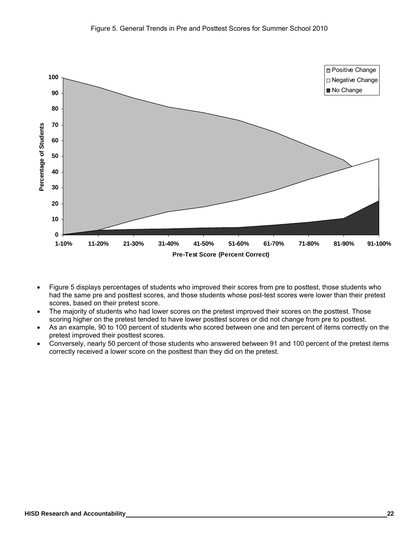

- Figure 5 displays percentages of students who improved their scores from pre to posttest, those students who had the same pre and posttest scores, and those students whose post-test scores were lower than their pretest scores, based on their pretest score.
- The majority of students who had lower scores on the pretest improved their scores on the posttest. Those scoring higher on the pretest tended to have lower posttest scores or did not change from pre to posttest.
- As an example, 90 to 100 percent of students who scored between one and ten percent of items correctly on the pretest improved their posttest scores.
- Conversely, nearly 50 percent of those students who answered between 91 and 100 percent of the pretest items correctly received a lower score on the posttest than they did on the pretest.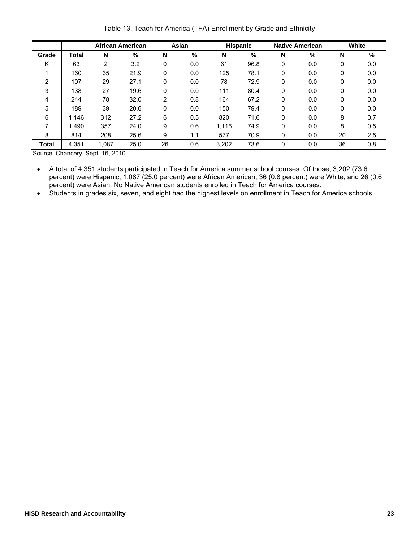Table 13. Teach for America (TFA) Enrollment by Grade and Ethnicity

|              |              | <b>African American</b> |      |    | Asian |       | <b>Hispanic</b> |   | <b>Native American</b> |    | White |
|--------------|--------------|-------------------------|------|----|-------|-------|-----------------|---|------------------------|----|-------|
| Grade        | <b>Total</b> | N                       | %    | N  | %     | N     | %               | N | %                      | N  | %     |
| Κ            | 63           | 2                       | 3.2  | 0  | 0.0   | 61    | 96.8            | 0 | 0.0                    | 0  | 0.0   |
|              | 160          | 35                      | 21.9 | 0  | 0.0   | 125   | 78.1            | 0 | 0.0                    | 0  | 0.0   |
| 2            | 107          | 29                      | 27.1 | 0  | 0.0   | 78    | 72.9            | 0 | 0.0                    | 0  | 0.0   |
| 3            | 138          | 27                      | 19.6 | 0  | 0.0   | 111   | 80.4            | 0 | 0.0                    | 0  | 0.0   |
| 4            | 244          | 78                      | 32.0 | 2  | 0.8   | 164   | 67.2            | 0 | 0.0                    | 0  | 0.0   |
| 5            | 189          | 39                      | 20.6 | 0  | 0.0   | 150   | 79.4            | 0 | 0.0                    | 0  | 0.0   |
| 6            | 1.146        | 312                     | 27.2 | 6  | 0.5   | 820   | 71.6            | 0 | 0.0                    | 8  | 0.7   |
| 7            | 1.490        | 357                     | 24.0 | 9  | 0.6   | 1.116 | 74.9            | 0 | 0.0                    | 8  | 0.5   |
| 8            | 814          | 208                     | 25.6 | 9  | 1.1   | 577   | 70.9            | 0 | 0.0                    | 20 | 2.5   |
| <b>Total</b> | 4,351        | 1,087                   | 25.0 | 26 | 0.6   | 3,202 | 73.6            | 0 | 0.0                    | 36 | 0.8   |

Source: Chancery, Sept. 16, 2010

- A total of 4,351 students participated in Teach for America summer school courses. Of those, 3,202 (73.6 percent) were Hispanic, 1,087 (25.0 percent) were African American, 36 (0.8 percent) were White, and 26 (0.6 percent) were Asian. No Native American students enrolled in Teach for America courses.
- Students in grades six, seven, and eight had the highest levels on enrollment in Teach for America schools.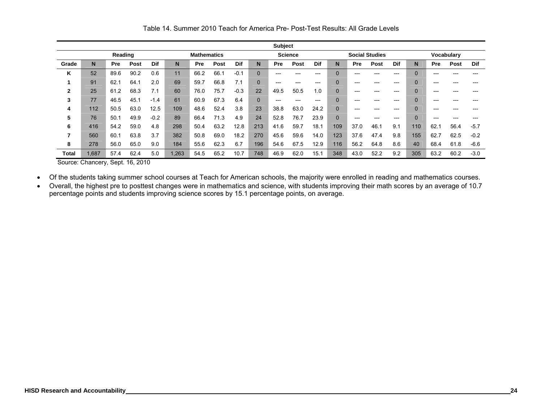|       |      |         |      |        |       |                    |      |        |                | <b>Subject</b> |                |       |                |      |                       |       |          |       |            |        |
|-------|------|---------|------|--------|-------|--------------------|------|--------|----------------|----------------|----------------|-------|----------------|------|-----------------------|-------|----------|-------|------------|--------|
|       |      | Reading |      |        |       | <b>Mathematics</b> |      |        |                |                | <b>Science</b> |       |                |      | <b>Social Studies</b> |       |          |       | Vocabulary |        |
| Grade | N    | Pre     | Post | Dif    | N     | <b>Pre</b>         | Post | Dif    | N              | Pre            | <b>Post</b>    | Dif   | N              | Pre  | Post                  | Dif   | N        | Pre   | Post       | Dif    |
| Κ     | 52   | 89.6    | 90.2 | 0.6    | 11    | 66.2               | 66.1 | $-0.1$ | $\Omega$       | ---            | ---            | $---$ | 0              | ---  |                       | $---$ | $\Omega$ | ---   | ---        |        |
|       | 91   | 62.1    | 64.1 | 2.0    | 69    | 59.7               | 66.8 | 7.1    | $\Omega$       | $---$          | ---            | $---$ | 0              | ---  | $---$                 | ---   | $\Omega$ | $---$ | ---        |        |
| 2     | 25   | 61.2    | 68.3 | 7.1    | 60    | 76.0               | 75.7 | $-0.3$ | 22             | 49.5           | 50.5           | 1.0   | 0              | ---  |                       | ---   |          | ---   |            |        |
| 3     | 77   | 46.5    | 45.1 | $-1.4$ | 61    | 60.9               | 67.3 | 6.4    | $\overline{0}$ | $---$          | ---            | $---$ | $\overline{0}$ | ---  | ---                   | ---   | $\Omega$ | $---$ | ---        |        |
| 4     | 112  | 50.5    | 63.0 | 12.5   | 109   | 48.6               | 52.4 | 3.8    | 23             | 38.8           | 63.0           | 24.2  | 0              | ---  | ---                   | ---   |          | ---   | ---        |        |
| 5     | 76   | 50.1    | 49.9 | $-0.2$ | 89    | 66.4               | 71.3 | 4.9    | 24             | 52.8           | 76.7           | 23.9  | 0              | ---  | $---$                 | $---$ | $\Omega$ | ---   | ---        |        |
| 6     | 416  | 54.2    | 59.0 | 4.8    | 298   | 50.4               | 63.2 | 12.8   | 213            | 41.6           | 59.7           | 18.1  | 109            | 37.0 | 46.1                  | 9.1   | 110      | 62.1  | 56.4       | $-5.7$ |
| 7     | 560  | 60.1    | 63.8 | 3.7    | 382   | 50.8               | 69.0 | 18.2   | 270            | 45.6           | 59.6           | 14.0  | 123            | 37.6 | 47.4                  | 9.8   | 155      | 62.7  | 62.5       | $-0.2$ |
| 8     | 278  | 56.0    | 65.0 | 9.0    | 184   | 55.6               | 62.3 | 6.7    | 196            | 54.6           | 67.5           | 12.9  | 116            | 56.2 | 64.8                  | 8.6   | 40       | 68.4  | 61.8       | $-6.6$ |
| Total | .687 | 57.4    | 62.4 | 5.0    | 1,263 | 54.5               | 65.2 | 10.7   | 748            | 46.9           | 62.0           | 15.1  | 348            | 43.0 | 52.2                  | 9.2   | 305      | 63.2  | 60.2       | $-3.0$ |

Table 14. Summer 2010 Teach for America Pre- Post-Test Results: All Grade Levels

Source: Chancery, Sept. 16, 2010

• Of the students taking summer school courses at Teach for American schools, the majority were enrolled in reading and mathematics courses.

• Overall, the highest pre to posttest changes were in mathematics and science, with students improving their math scores by an average of 10.7 percentage points and students improving science scores by 15.1 percentage points, on average.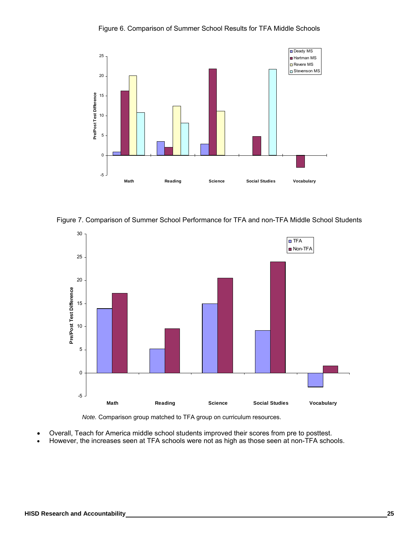

Figure 6. Comparison of Summer School Results for TFA Middle Schools

Figure 7. Comparison of Summer School Performance for TFA and non-TFA Middle School Students



*Note.* Comparison group matched to TFA group on curriculum resources.

- Overall, Teach for America middle school students improved their scores from pre to posttest.
- However, the increases seen at TFA schools were not as high as those seen at non-TFA schools.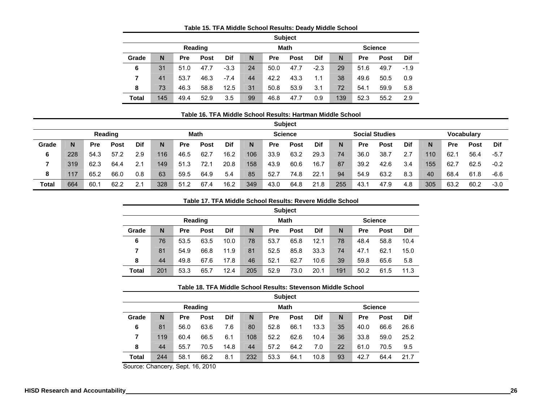|              |     |      |             |        |    |      | <b>Subject</b> |        |     |      |                |            |
|--------------|-----|------|-------------|--------|----|------|----------------|--------|-----|------|----------------|------------|
|              |     |      | Reading     |        |    |      | <b>Math</b>    |        |     |      | <b>Science</b> |            |
| Grade        | N   | Pre  | <b>Post</b> | Dif    | N  | Pre  | <b>Post</b>    | Dif    | N   | Pre  | <b>Post</b>    | <b>Dif</b> |
| 6            | 31  | 51.0 | 47.7        | $-3.3$ | 24 | 50.0 | 47.7           | $-2.3$ | 29  | 51.6 | 49.7           | $-1.9$     |
| 7            | 41  | 53.7 | 46.3        | $-7.4$ | 44 | 42.2 | 43.3           | 1.1    | 38  | 49.6 | 50.5           | 0.9        |
| 8            | 73  | 46.3 | 58.8        | 12.5   | 31 | 50.8 | 53.9           | 3.1    | 72  | 54.1 | 59.9           | 5.8        |
| <b>Total</b> | 145 | 49.4 | 52.9        | 3.5    | 99 | 46.8 | 47.7           | 0.9    | 139 | 52.3 | 55.2           | 2.9        |

## **Table 15. TFA Middle School Results: Deady Middle School**

#### **Table 16. TFA Middle School Results: Hartman Middle School**

|       |     |            |             |     |     |            |             |      |     |      | <b>Subject</b> |      |     |            |                       |            |     |      |             |        |
|-------|-----|------------|-------------|-----|-----|------------|-------------|------|-----|------|----------------|------|-----|------------|-----------------------|------------|-----|------|-------------|--------|
|       |     |            | Reading     |     |     |            | <b>Math</b> |      |     |      | <b>Science</b> |      |     |            | <b>Social Studies</b> |            |     |      | Vocabulary  |        |
| Grade | N.  | <b>Pre</b> | <b>Post</b> | Dif | N.  | <b>Pre</b> | <b>Post</b> | Dif  | N   | Pre  | <b>Post</b>    | Dif  | N   | <b>Pre</b> | Post                  | <b>Dif</b> | N   | Pre  | <b>Post</b> | Dif    |
| 6     | 228 | 54.3       | 57.2        | 2.9 | 116 | 46.5       | 62.7        | 16.2 | 106 | 33.9 | 63.2           | 29.3 | 74  | 36.0       | 38.7                  | 2.7        | 110 | 62.  | 56.4        | $-5.7$ |
|       | 319 | 62.3       | 64.4        | 2.1 | 149 | 51.3       | 72.1        | 20.8 | 158 | 43.9 | 60.6           | 16.7 | 87  | 39.2       | 42.6                  | 3.4        | 155 | 62.7 | 62.5        | $-0.2$ |
| 8     | 117 | 65.2       | 66.0        | 0.8 | 63  | 59.5       | 64.9        | 5.4  | 85  | 52.7 | 74.8           | 22.  | 94  | 54.9       | 63.2                  | 8.3        | 40  | 68.4 | 61.8        | $-6.6$ |
| Total | 664 | 60.7       | 62.2        | 2.1 | 328 | 51.2       | 67.4        | 16.2 | 349 | 43.0 | 64.8           | 21.8 | 255 | 43.7       | 47.9                  | 4.8        | 305 | 63.2 | 60.2        | $-3.0$ |

#### **Table 17. TFA Middle School Results: Revere Middle School**

|              |     | <b>Subject</b> |                |            |     |      |             |      |     |      |                |            |  |  |  |  |
|--------------|-----|----------------|----------------|------------|-----|------|-------------|------|-----|------|----------------|------------|--|--|--|--|
|              |     |                | <b>Reading</b> |            |     |      | <b>Math</b> |      |     |      | <b>Science</b> |            |  |  |  |  |
| Grade        | N   | <b>Pre</b>     | <b>Post</b>    | <b>Dif</b> | N   | Pre  | <b>Post</b> | Dif  | N   | Pre  | <b>Post</b>    | <b>Dif</b> |  |  |  |  |
| 6            | 76  | 53.5           | 63.5           | 10.0       | 78  | 53.7 | 65.8        | 12.1 | 78  | 48.4 | 58.8           | 10.4       |  |  |  |  |
| 7            | 81  | 54.9           | 66.8           | 11.9       | 81  | 52.5 | 85.8        | 33.3 | 74  | 47.1 | 62.1           | 15.0       |  |  |  |  |
| 8            | 44  | 49.8           | 67.6           | 17.8       | 46  | 52.1 | 62.7        | 10.6 | 39  | 59.8 | 65.6           | 5.8        |  |  |  |  |
| <b>Total</b> | 201 | 53.3           | 65.7           | 12.4       | 205 | 52.9 | 73.0        | 20.1 | 191 | 50.2 | 61.5           | 11.3       |  |  |  |  |

#### **Table 18. TFA Middle School Results: Stevenson Middle School**

|       |     |      |             |      |     |            | <b>Subject</b> |      |    |      |                |            |
|-------|-----|------|-------------|------|-----|------------|----------------|------|----|------|----------------|------------|
|       |     |      | Reading     |      |     |            | <b>Math</b>    |      |    |      | <b>Science</b> |            |
| Grade | N   | Pre  | <b>Post</b> | Dif  | N   | <b>Pre</b> | <b>Post</b>    | Dif  | N  | Pre  | <b>Post</b>    | <b>Dif</b> |
| 6     | 81  | 56.0 | 63.6        | 7.6  | 80  | 52.8       | 66.1           | 13.3 | 35 | 40.0 | 66.6           | 26.6       |
| 7     | 119 | 60.4 | 66.5        | 6.1  | 108 | 52.2       | 62.6           | 10.4 | 36 | 33.8 | 59.0           | 25.2       |
| 8     | 44  | 55.7 | 70.5        | 14.8 | 44  | 57.2       | 64.2           | 7.0  | 22 | 61.0 | 70.5           | 9.5        |
| Total | 244 | 58.1 | 66.2        | 8.1  | 232 | 53.3       | 64.1           | 10.8 | 93 | 42.7 | 64.4           | 21.7       |

Source: Chancery, Sept. 16, 2010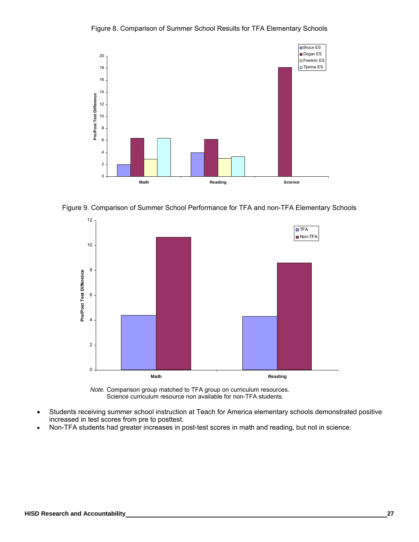

Figure 8. Comparison of Summer School Results for TFA Elementary Schools





*Note.* Comparison group matched to TFA group on curriculum resources. Science curriculum resource non available for non-TFA students.

- Students receiving summer school instruction at Teach for America elementary schools demonstrated positive increased in test scores from pre to posttest.
- Non-TFA students had greater increases in post-test scores in math and reading, but not in science.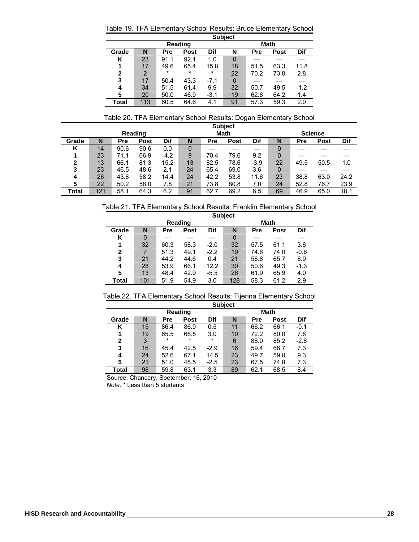Table 19. TFA Elementary School Results: Bruce Elementary School

|       | <b>Subject</b> |         |         |         |             |      |      |        |  |  |
|-------|----------------|---------|---------|---------|-------------|------|------|--------|--|--|
|       |                | Reading |         |         | <b>Math</b> |      |      |        |  |  |
| Grade | N              | Pre     | Post    | Dif     | N           | Pre  | Post | Dif    |  |  |
| κ     | 23             | 91.1    | 92.1    | 1.0     | 0           |      |      |        |  |  |
|       | 17             | 49.6    | 65.4    | 15.8    | 18          | 51.5 | 63.3 | 11.8   |  |  |
| 2     | 2              | $\star$ | $\star$ | $\star$ | 22          | 70.2 | 73.0 | 2.8    |  |  |
| 3     | 17             | 50.4    | 43.3    | $-7.1$  | 0           |      |      |        |  |  |
| 4     | 34             | 51.5    | 61.4    | 9.9     | 32          | 50.7 | 49.5 | $-1.2$ |  |  |
| 5     | 20             | 50.0    | 46.9    | $-3.1$  | 19          | 62.8 | 64.2 | 1.4    |  |  |
| Total | 113            | 60.5    | 64.6    | 4.1     | 91          | 57.3 | 59.3 | 2.0    |  |  |

Table 20. TFA Elementary School Results: Dogan Elementary School

|       |     |            |             |        |    |            | <b>Subject</b> |        |    |      |                |      |
|-------|-----|------------|-------------|--------|----|------------|----------------|--------|----|------|----------------|------|
|       |     |            | Reading     |        |    |            | <b>Math</b>    |        |    |      | <b>Science</b> |      |
| Grade | N   | <b>Pre</b> | <b>Post</b> | Dif    | N  | <b>Pre</b> | <b>Post</b>    | Dif    | N  | Pre  | <b>Post</b>    | Dif  |
| Κ     | 14  | 90.6       | 90.6        | 0.0    | 0  |            |                |        | 0  |      |                |      |
|       | 23  | 71.1       | 66.9        | $-4.2$ | 9  | 70.4       | 79.6           | 9.2    |    | ---  |                |      |
| 2     | 13  | 66.1       | 81.3        | 15.2   | 13 | 82.5       | 78.6           | $-3.9$ | 22 | 49.5 | 50.5           | 1.0  |
| 3     | 23  | 46.5       | 48.6        | 2.1    | 24 | 65.4       | 69.0           | 3.6    | 0  |      |                |      |
| 4     | 26  | 43.8       | 58.2        | 14.4   | 24 | 42.2       | 53.8           | 11.6   | 23 | 38.8 | 63.0           | 24.2 |
| 5     | 22  | 50.2       | 58.0        | 7.8    | 21 | 73.8       | 80.8           | 7.0    | 24 | 52.8 | 76.7           | 23.9 |
| Total | 121 | 58.1       | 64.3        | 6.2    | 91 | 62.7       | 69.2           | 6.5    | 69 | 46.9 | 65.0           | 18.1 |

Table 21. TFA Elementary School Results: Franklin Elementary School

|       | <b>Subject</b> |         |      |             |     |      |      |        |  |  |
|-------|----------------|---------|------|-------------|-----|------|------|--------|--|--|
|       |                | Reading |      | <b>Math</b> |     |      |      |        |  |  |
| Grade | N              | Pre     | Post | <b>Dif</b>  | N   | Pre  | Post | Dif    |  |  |
| Κ     | 0              |         |      |             | 0   |      |      |        |  |  |
| 1     | 32             | 60.3    | 58.3 | $-2.0$      | 32  | 57.5 | 61.1 | 3.6    |  |  |
| 2     |                | 51.3    | 49.1 | $-2.2$      | 19  | 74.6 | 74.0 | $-0.6$ |  |  |
| 3     | 21             | 44.2    | 44.6 | 0.4         | 21  | 56.8 | 65.7 | 8.9    |  |  |
| 4     | 28             | 53.9    | 66.1 | 12.2        | 30  | 50.6 | 49.3 | $-1.3$ |  |  |
| 5     | 13             | 48.4    | 42.9 | $-5.5$      | 26  | 61.9 | 65.9 | 4.0    |  |  |
| Total | 101            | 51.9    | 54.9 | 3.0         | 128 | 58.3 | 61.2 | 2.9    |  |  |

Table 22. TFA Elementary School Results: Tijerina Elementary School

|              | <b>Subject</b> |         |         |             |    |      |      |        |  |  |
|--------------|----------------|---------|---------|-------------|----|------|------|--------|--|--|
|              |                | Reading |         | <b>Math</b> |    |      |      |        |  |  |
| Grade        | N              | Pre     | Post    | Dif         | N  | Pre  | Post | Dif    |  |  |
| κ            | 15             | 86.4    | 86.9    | 0.5         | 11 | 66.2 | 66.1 | $-0.1$ |  |  |
| 1            | 19             | 65.5    | 68.5    | 3.0         | 10 | 72.2 | 80.0 | 7.8    |  |  |
| $\mathbf{2}$ | 3              | $\star$ | $\star$ | $\star$     | 6  | 88.0 | 85.2 | $-2.8$ |  |  |
| 3            | 16             | 45.4    | 42.5    | $-2.9$      | 16 | 59.4 | 66.7 | 7.3    |  |  |
| 4            | 24             | 52.6    | 67.1    | 14.5        | 23 | 49.7 | 59.0 | 9.3    |  |  |
| 5            | 21             | 51.0    | 48.5    | $-2.5$      | 23 | 67.5 | 74.8 | 7.3    |  |  |
| Total        | 98             | 59.8    | 63.1    | 3.3         | 89 | 62.1 | 68.5 | 6.4    |  |  |

Source: Chancery, Spetember, 16, 2010

*Note.* \* Less than 5 students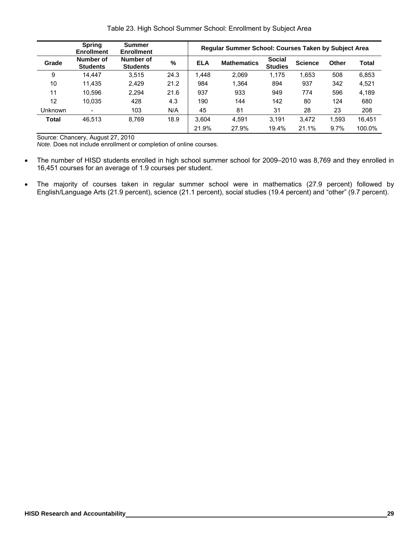|  |  | Table 23. High School Summer School: Enrollment by Subject Area |  |
|--|--|-----------------------------------------------------------------|--|
|  |  |                                                                 |  |

|              | <b>Spring</b><br><b>Enrollment</b> | <b>Summer</b><br><b>Enrollment</b> |      | <b>Regular Summer School: Courses Taken by Subject Area</b> |                    |                                 |                |       |              |  |  |
|--------------|------------------------------------|------------------------------------|------|-------------------------------------------------------------|--------------------|---------------------------------|----------------|-------|--------------|--|--|
| Grade        | Number of<br><b>Students</b>       | Number of<br><b>Students</b>       | %    | <b>ELA</b>                                                  | <b>Mathematics</b> | <b>Social</b><br><b>Studies</b> | <b>Science</b> | Other | <b>Total</b> |  |  |
| 9            | 14.447                             | 3,515                              | 24.3 | 1,448                                                       | 2,069              | 1,175                           | 1,653          | 508   | 6,853        |  |  |
| 10           | 11.435                             | 2.429                              | 21.2 | 984                                                         | 1,364              | 894                             | 937            | 342   | 4,521        |  |  |
| 11           | 10.596                             | 2.294                              | 21.6 | 937                                                         | 933                | 949                             | 774            | 596   | 4,189        |  |  |
| 12           | 10.035                             | 428                                | 4.3  | 190                                                         | 144                | 142                             | 80             | 124   | 680          |  |  |
| Unknown      | $\overline{\phantom{a}}$           | 103                                | N/A  | 45                                                          | 81                 | 31                              | 28             | 23    | 208          |  |  |
| <b>Total</b> | 46.513                             | 8.769                              | 18.9 | 3.604                                                       | 4.591              | 3.191                           | 3.472          | 1,593 | 16.451       |  |  |
|              |                                    |                                    |      | 21.9%                                                       | 27.9%              | 19.4%                           | 21.1%          | 9.7%  | 100.0%       |  |  |

Source: Chancery, August 27, 2010

*Note.* Does not include enrollment or completion of online courses.

- The number of HISD students enrolled in high school summer school for 2009–2010 was 8,769 and they enrolled in 16,451 courses for an average of 1.9 courses per student.
- The majority of courses taken in regular summer school were in mathematics (27.9 percent) followed by English/Language Arts (21.9 percent), science (21.1 percent), social studies (19.4 percent) and "other" (9.7 percent).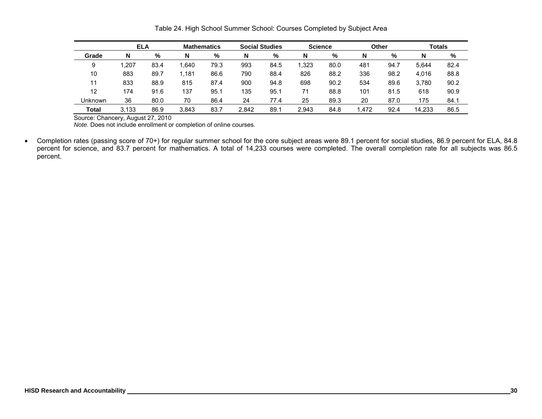|         | <b>ELA</b> |      | <b>Mathematics</b> |      | <b>Social Studies</b> |      | <b>Science</b> |      | Other |      | <b>Totals</b> |      |
|---------|------------|------|--------------------|------|-----------------------|------|----------------|------|-------|------|---------------|------|
| Grade   | N          | %    | N                  | %    | N                     | $\%$ | N              | %    | N     | %    | N             | %    |
| 9       | . 207      | 83.4 | .640               | 79.3 | 993                   | 84.5 | 1.323          | 80.0 | 481   | 94.7 | 5.644         | 82.4 |
| 10      | 883        | 89.7 | .181               | 86.6 | 790                   | 88.4 | 826            | 88.2 | 336   | 98.2 | 4.016         | 88.8 |
|         | 833        | 88.9 | 815                | 87.4 | 900                   | 94.8 | 698            | 90.2 | 534   | 89.6 | 3.780         | 90.2 |
| 12      | 174        | 91.6 | 137                | 95.1 | 135                   | 95.1 | 71             | 88.8 | 101   | 81.5 | 618           | 90.9 |
| Unknown | 36         | 80.0 | 70                 | 86.4 | 24                    | 77.4 | 25             | 89.3 | 20    | 87.0 | 175           | 84.1 |
| Total   | 3,133      | 86.9 | 3.843              | 83.7 | 2.842                 | 89.1 | 2.943          | 84.8 | 1.472 | 92.4 | 14.233        | 86.5 |

Table 24. High School Summer School: Courses Completed by Subject Area

Source: Chancery, August 27, 2010

*Note.* Does not include enrollment or completion of online courses.

• Completion rates (passing score of 70+) for regular summer school for the core subject areas were 89.1 percent for social studies, 86.9 percent for ELA, 84.8 percent for science, and 83.7 percent for mathematics. A total of 14,233 courses were completed. The overall completion rate for all subjects was 86.5 percent.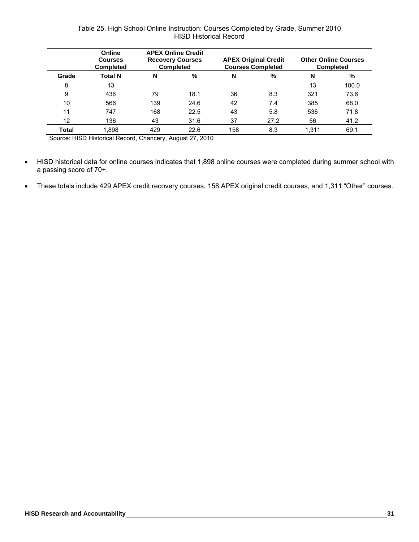# Table 25. High School Online Instruction: Courses Completed by Grade, Summer 2010 HISD Historical Record

|       | Online<br><b>Courses</b><br><b>Completed</b> | <b>APEX Online Credit</b><br><b>Recovery Courses</b><br><b>Completed</b> |      |     | <b>APEX Original Credit</b><br><b>Courses Completed</b> | <b>Other Online Courses</b><br><b>Completed</b> |       |
|-------|----------------------------------------------|--------------------------------------------------------------------------|------|-----|---------------------------------------------------------|-------------------------------------------------|-------|
| Grade | <b>Total N</b>                               | N                                                                        | %    | N   | %                                                       | N                                               | %     |
| 8     | 13                                           |                                                                          |      |     |                                                         | 13                                              | 100.0 |
| 9     | 436                                          | 79                                                                       | 18.1 | 36  | 8.3                                                     | 321                                             | 73.6  |
| 10    | 566                                          | 139                                                                      | 24.6 | 42  | 7.4                                                     | 385                                             | 68.0  |
| 11    | 747                                          | 168                                                                      | 22.5 | 43  | 5.8                                                     | 536                                             | 71.8  |
| 12    | 136                                          | 43                                                                       | 31.6 | 37  | 27.2                                                    | 56                                              | 41.2  |
| Total | 1.898                                        | 429                                                                      | 22.6 | 158 | 8.3                                                     | 1.311                                           | 69.1  |

Source: HISD Historical Record, Chancery, August 27, 2010

- HISD historical data for online courses indicates that 1,898 online courses were completed during summer school with a passing score of 70+.
- These totals include 429 APEX credit recovery courses, 158 APEX original credit courses, and 1,311 "Other" courses.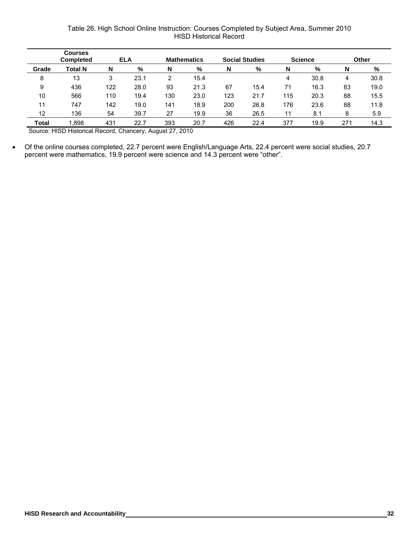# Table 26. High School Online Instruction: Courses Completed by Subject Area, Summer 2010 HISD Historical Record

|              | <b>Courses</b><br><b>Completed</b> |        | <b>ELA</b> |     | <b>Mathematics</b> |     | <b>Social Studies</b> |     | <b>Science</b> |     | Other |
|--------------|------------------------------------|--------|------------|-----|--------------------|-----|-----------------------|-----|----------------|-----|-------|
| Grade        | Total N                            | N      | %          | N   | %                  | N   | %                     | N   | %              | N   | %     |
| 8            | 13                                 | ว<br>O | 23.1       |     | 15.4               |     |                       | 4   | 30.8           | 4   | 30.8  |
| 9            | 436                                | 122    | 28.0       | 93  | 21.3               | 67  | 15.4                  | 71  | 16.3           | 83  | 19.0  |
| 10           | 566                                | 110    | 19.4       | 130 | 23.0               | 123 | 21.7                  | 115 | 20.3           | 88  | 15.5  |
| 11           | 747                                | 142    | 19.0       | 141 | 18.9               | 200 | 26.8                  | 176 | 23.6           | 88  | 11.8  |
| 12           | 136                                | 54     | 39.7       | 27  | 19.9               | 36  | 26.5                  | 11  | 8.1            | 8   | 5.9   |
| <b>Total</b> | 1,898                              | 431    | 22.7       | 393 | 20.7               | 426 | 22.4                  | 377 | 19.9           | 271 | 14.3  |

Source: HISD Historical Record, Chancery, August 27, 2010

• Of the online courses completed, 22.7 percent were English/Language Arts, 22.4 percent were social studies, 20.7 percent were mathematics, 19.9 percent were science and 14.3 percent were "other".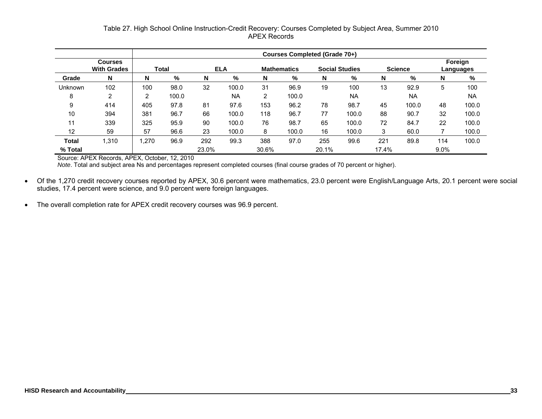# Table 27. High School Online Instruction-Credit Recovery: Courses Completed by Subject Area, Summer 2010 APEX Records

|         |                                      | Courses Completed (Grade 70+)                                                        |       |       |       |       |       |       |           |       |           |                      |           |
|---------|--------------------------------------|--------------------------------------------------------------------------------------|-------|-------|-------|-------|-------|-------|-----------|-------|-----------|----------------------|-----------|
|         | <b>Courses</b><br><b>With Grades</b> | <b>Social Studies</b><br><b>Science</b><br><b>ELA</b><br>Total<br><b>Mathematics</b> |       |       |       |       |       |       |           |       |           | Foreign<br>Languages |           |
| Grade   | N                                    | N                                                                                    | %     | N     | %     | N     | %     | N     | %         | N     | %         | N                    | %         |
| Unknown | 102                                  | 100                                                                                  | 98.0  | 32    | 100.0 | 31    | 96.9  | 19    | 100       | 13    | 92.9      | 5                    | 100       |
| 8       | 2                                    | 2                                                                                    | 100.0 |       | NA    | 2     | 100.0 |       | <b>NA</b> |       | <b>NA</b> |                      | <b>NA</b> |
| 9       | 414                                  | 405                                                                                  | 97.8  | 81    | 97.6  | 153   | 96.2  | 78    | 98.7      | 45    | 100.0     | 48                   | 100.0     |
| 10      | 394                                  | 381                                                                                  | 96.7  | 66    | 100.0 | 118   | 96.7  | 77    | 100.0     | 88    | 90.7      | 32                   | 100.0     |
| 11      | 339                                  | 325                                                                                  | 95.9  | 90    | 100.0 | 76    | 98.7  | 65    | 100.0     | 72    | 84.7      | 22                   | 100.0     |
| 12      | 59                                   | 57                                                                                   | 96.6  | 23    | 100.0 | 8     | 100.0 | 16    | 100.0     | 3     | 60.0      |                      | 100.0     |
| Total   | 1,310                                | ,270                                                                                 | 96.9  | 292   | 99.3  | 388   | 97.0  | 255   | 99.6      | 221   | 89.8      | 114                  | 100.0     |
| % Total |                                      |                                                                                      |       | 23.0% |       | 30.6% |       | 20.1% |           | 17.4% |           | 9.0%                 |           |

Source: APEX Records, APEX, October, 12, 2010

*Note*. Total and subject area Ns and percentages represent completed courses (final course grades of 70 percent or higher).

- Of the 1,270 credit recovery courses reported by APEX, 30.6 percent were mathematics, 23.0 percent were English/Language Arts, 20.1 percent were social studies, 17.4 percent were science, and 9.0 percent were foreign languages.
- The overall completion rate for APEX credit recovery courses was 96.9 percent.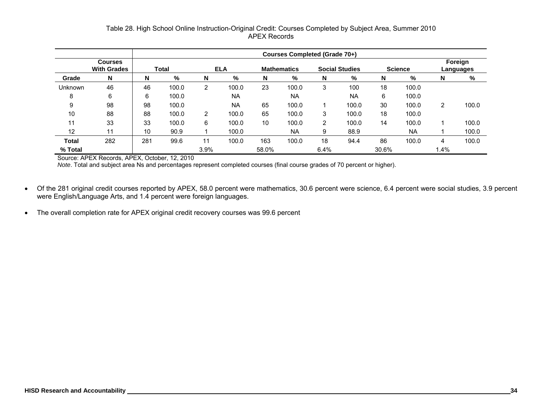# Table 28. High School Online Instruction-Original Credit: Courses Completed by Subject Area, Summer 2010 APEX Records

|         |                                      | Courses Completed (Grade 70+)                                                        |       |                |           |       |           |      |           |       |                      |      |       |
|---------|--------------------------------------|--------------------------------------------------------------------------------------|-------|----------------|-----------|-------|-----------|------|-----------|-------|----------------------|------|-------|
|         | <b>Courses</b><br><b>With Grades</b> | <b>Science</b><br><b>ELA</b><br><b>Social Studies</b><br>Total<br><b>Mathematics</b> |       |                |           |       |           |      |           |       | Foreign<br>Languages |      |       |
| Grade   | N                                    | N                                                                                    | %     | N              | ℅         | N     | %         | N    | %         | N     | %                    | N    | %     |
| Unknown | 46                                   | 46                                                                                   | 100.0 | $\overline{2}$ | 100.0     | 23    | 100.0     | 3    | 100       | 18    | 100.0                |      |       |
| 8       | 6                                    | 6                                                                                    | 100.0 |                | <b>NA</b> |       | <b>NA</b> |      | <b>NA</b> | 6     | 100.0                |      |       |
| 9       | 98                                   | 98                                                                                   | 100.0 |                | <b>NA</b> | 65    | 100.0     |      | 100.0     | 30    | 100.0                | 2    | 100.0 |
| 10      | 88                                   | 88                                                                                   | 100.0 | $\overline{2}$ | 100.0     | 65    | 100.0     | 3    | 100.0     | 18    | 100.0                |      |       |
| 11      | 33                                   | 33                                                                                   | 100.0 | 6              | 100.0     | 10    | 100.0     | 2    | 100.0     | 14    | 100.0                |      | 100.0 |
| 12      | 11                                   | 10                                                                                   | 90.9  |                | 100.0     |       | NA        | 9    | 88.9      |       | <b>NA</b>            |      | 100.0 |
| Total   | 282                                  | 281                                                                                  | 99.6  | 11             | 100.0     | 163   | 100.0     | 18   | 94.4      | 86    | 100.0                | 4    | 100.0 |
| % Total |                                      |                                                                                      |       | 3.9%           |           | 58.0% |           | 6.4% |           | 30.6% |                      | 1.4% |       |

Source: APEX Records, APEX, October, 12, 2010

*Note*. Total and subject area Ns and percentages represent completed courses (final course grades of 70 percent or higher).

- Of the 281 original credit courses reported by APEX, 58.0 percent were mathematics, 30.6 percent were science, 6.4 percent were social studies, 3.9 percent were English/Language Arts, and 1.4 percent were foreign languages.
- The overall completion rate for APEX original credit recovery courses was 99.6 percent